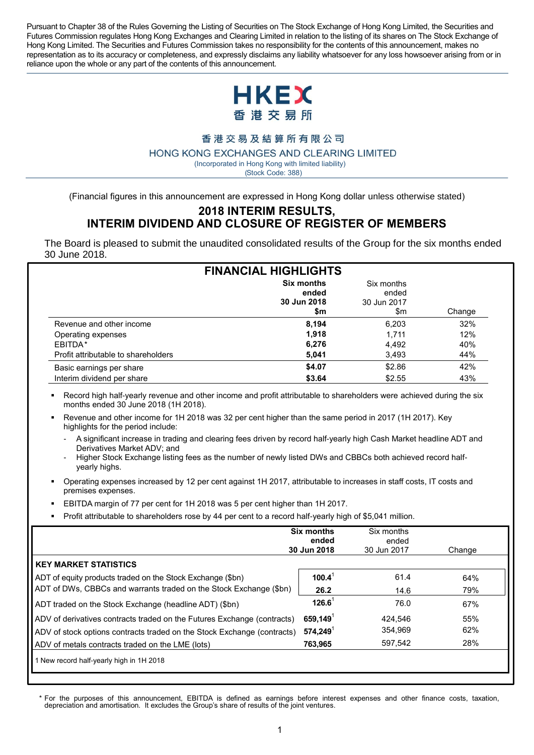Pursuant to Chapter 38 of the Rules Governing the Listing of Securities on The Stock Exchange of Hong Kong Limited, the Securities and Futures Commission regulates Hong Kong Exchanges and Clearing Limited in relation to the listing of its shares on The Stock Exchange of Hong Kong Limited. The Securities and Futures Commission takes no responsibility for the contents of this announcement, makes no representation as to its accuracy or completeness, and expressly disclaims any liability whatsoever for any loss howsoever arising from or in reliance upon the whole or any part of the contents of this announcement.



香港交易及結算所有限公司

HONG KONG EXCHANGES AND CLEARING LIMITED

 ( Incorporated in Hong Kong with limited liability) (Stock Code: 388)

(Financial figures in this announcement are expressed in Hong Kong dollar unless otherwise stated)

#### **2018 INTERIM RESULTS, INTERIM DIVIDEND AND CLOSURE OF REGISTER OF MEMBERS**

The Board is pleased to submit the unaudited consolidated results of the Group for the six months ended 30 June 2018.

| <b>FINANCIAL HIGHLIGHTS</b>         |                                           |                                           |        |  |  |
|-------------------------------------|-------------------------------------------|-------------------------------------------|--------|--|--|
|                                     | Six months<br>ended<br>30 Jun 2018<br>\$m | Six months<br>ended<br>30 Jun 2017<br>\$m | Change |  |  |
| Revenue and other income            | 8.194                                     | 6,203                                     | 32%    |  |  |
| Operating expenses                  | 1.918                                     | 1.711                                     | 12%    |  |  |
| EBITDA*                             | 6,276                                     | 4,492                                     | 40%    |  |  |
| Profit attributable to shareholders | 5,041                                     | 3.493                                     | 44%    |  |  |
| Basic earnings per share            | \$4.07                                    | \$2.86                                    | 42%    |  |  |
| Interim dividend per share          | \$3.64                                    | \$2.55                                    | 43%    |  |  |

 Record high half-yearly revenue and other income and profit attributable to shareholders were achieved during the six months ended 30 June 2018 (1H 2018).

- Revenue and other income for 1H 2018 was 32 per cent higher than the same period in 2017 (1H 2017). Key highlights for the period include:
	- A significant increase in trading and clearing fees driven by record half-yearly high Cash Market headline ADT and Derivatives Market ADV; and
	- Higher Stock Exchange listing fees as the number of newly listed DWs and CBBCs both achieved record halfyearly highs.
- Operating expenses increased by 12 per cent against 1H 2017, attributable to increases in staff costs, IT costs and premises expenses.
- EBITDA margin of 77 per cent for 1H 2018 was 5 per cent higher than 1H 2017.
- Profit attributable to shareholders rose by 44 per cent to a record half-yearly high of \$5,041 million.

|                                                                         | <b>Six months</b><br>ended<br>30 Jun 2018 | Six months<br>ended<br>30 Jun 2017 | Change |
|-------------------------------------------------------------------------|-------------------------------------------|------------------------------------|--------|
| <b>KEY MARKET STATISTICS</b>                                            |                                           |                                    |        |
| ADT of equity products traded on the Stock Exchange (\$bn)              | $100.4^1$                                 | 61.4                               | 64%    |
| ADT of DWs, CBBCs and warrants traded on the Stock Exchange (\$bn)      | 26.2                                      | 14.6                               | 79%    |
| ADT traded on the Stock Exchange (headline ADT) (\$bn)                  | $126.6^1$                                 | 76.0                               | 67%    |
| ADV of derivatives contracts traded on the Futures Exchange (contracts) | $659,149$ <sup>1</sup>                    | 424.546                            | 55%    |
| ADV of stock options contracts traded on the Stock Exchange (contracts) | $574,249$ <sup>1</sup>                    | 354,969                            | 62%    |
| ADV of metals contracts traded on the LME (lots)                        | 763,965                                   | 597,542                            | 28%    |
| 1 New record half-yearly high in 1H 2018                                |                                           |                                    |        |

*\** For the purposes of this announcement, EBITDA is defined as earnings before interest expenses and other finance costs, taxation, depreciation and amortisation. It excludes the Group's share of results of the joint ventures.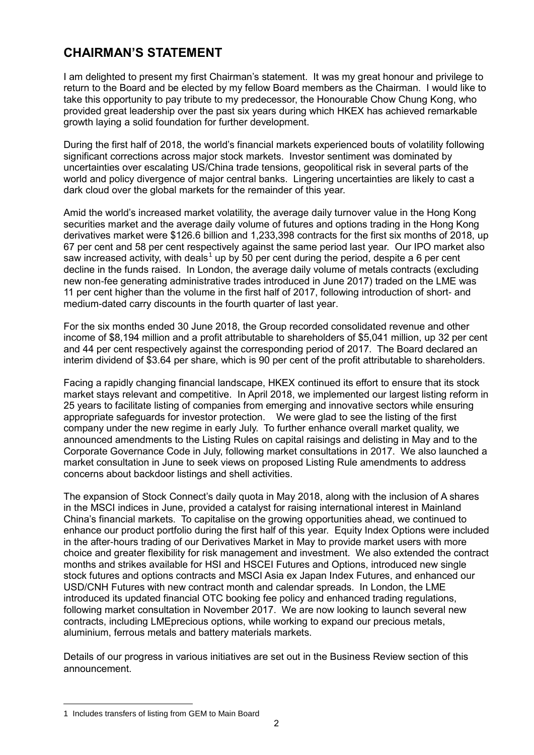# **CHAIRMAN'S STATEMENT**

I am delighted to present my first Chairman's statement. It was my great honour and privilege to return to the Board and be elected by my fellow Board members as the Chairman. I would like to take this opportunity to pay tribute to my predecessor, the Honourable Chow Chung Kong, who provided great leadership over the past six years during which HKEX has achieved remarkable growth laying a solid foundation for further development.

During the first half of 2018, the world's financial markets experienced bouts of volatility following significant corrections across major stock markets. Investor sentiment was dominated by uncertainties over escalating US/China trade tensions, geopolitical risk in several parts of the world and policy divergence of major central banks. Lingering uncertainties are likely to cast a dark cloud over the global markets for the remainder of this year.

Amid the world's increased market volatility, the average daily turnover value in the Hong Kong securities market and the average daily volume of futures and options trading in the Hong Kong derivatives market were \$126.6 billion and 1,233,398 contracts for the first six months of 2018, up 67 per cent and 58 per cent respectively against the same period last year. Our IPO market also saw increased activity, with deals<sup>1</sup> up by 50 per cent during the period, despite a 6 per cent decline in the funds raised. In London, the average daily volume of metals contracts (excluding new non-fee generating administrative trades introduced in June 2017) traded on the LME was 11 per cent higher than the volume in the first half of 2017, following introduction of short- and medium-dated carry discounts in the fourth quarter of last year.

For the six months ended 30 June 2018, the Group recorded consolidated revenue and other income of \$8,194 million and a profit attributable to shareholders of \$5,041 million, up 32 per cent and 44 per cent respectively against the corresponding period of 2017. The Board declared an interim dividend of \$3.64 per share, which is 90 per cent of the profit attributable to shareholders.

Facing a rapidly changing financial landscape, HKEX continued its effort to ensure that its stock market stays relevant and competitive. In April 2018, we implemented our largest listing reform in 25 years to facilitate listing of companies from emerging and innovative sectors while ensuring appropriate safeguards for investor protection. We were glad to see the listing of the first company under the new regime in early July. To further enhance overall market quality, we announced amendments to the Listing Rules on capital raisings and delisting in May and to the Corporate Governance Code in July, following market consultations in 2017. We also launched a market consultation in June to seek views on proposed Listing Rule amendments to address concerns about backdoor listings and shell activities.

The expansion of Stock Connect's daily quota in May 2018, along with the inclusion of A shares in the MSCI indices in June, provided a catalyst for raising international interest in Mainland China's financial markets. To capitalise on the growing opportunities ahead, we continued to enhance our product portfolio during the first half of this year. Equity Index Options were included in the after-hours trading of our Derivatives Market in May to provide market users with more choice and greater flexibility for risk management and investment. We also extended the contract months and strikes available for HSI and HSCEI Futures and Options, introduced new single stock futures and options contracts and MSCI Asia ex Japan Index Futures, and enhanced our USD/CNH Futures with new contract month and calendar spreads. In London, the LME introduced its updated financial OTC booking fee policy and enhanced trading regulations, following market consultation in November 2017. We are now looking to launch several new contracts, including LMEprecious options, while working to expand our precious metals, aluminium, ferrous metals and battery materials markets.

Details of our progress in various initiatives are set out in the Business Review section of this announcement.

 $\overline{a}$ 

<sup>1</sup> Includes transfers of listing from GEM to Main Board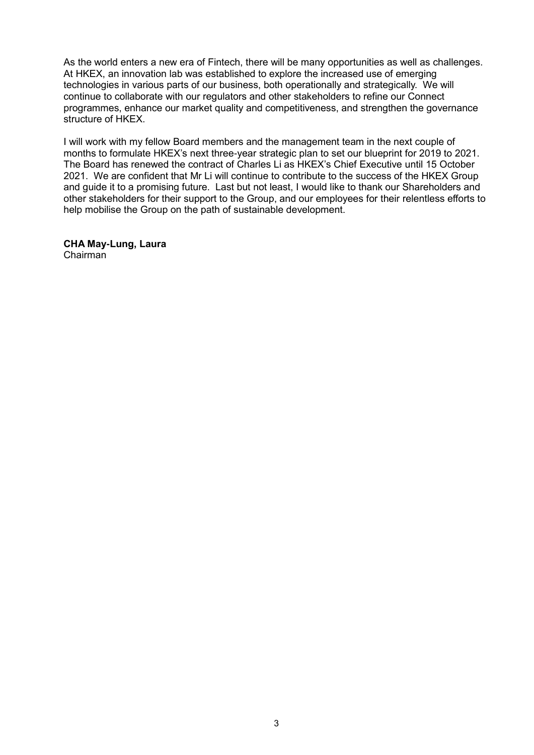As the world enters a new era of Fintech, there will be many opportunities as well as challenges. At HKEX, an innovation lab was established to explore the increased use of emerging technologies in various parts of our business, both operationally and strategically. We will continue to collaborate with our regulators and other stakeholders to refine our Connect programmes, enhance our market quality and competitiveness, and strengthen the governance structure of HKEX.

I will work with my fellow Board members and the management team in the next couple of months to formulate HKEX's next three-year strategic plan to set our blueprint for 2019 to 2021. The Board has renewed the contract of Charles Li as HKEX's Chief Executive until 15 October 2021. We are confident that Mr Li will continue to contribute to the success of the HKEX Group and guide it to a promising future. Last but not least, I would like to thank our Shareholders and other stakeholders for their support to the Group, and our employees for their relentless efforts to help mobilise the Group on the path of sustainable development.

**CHA May-Lung, Laura** Chairman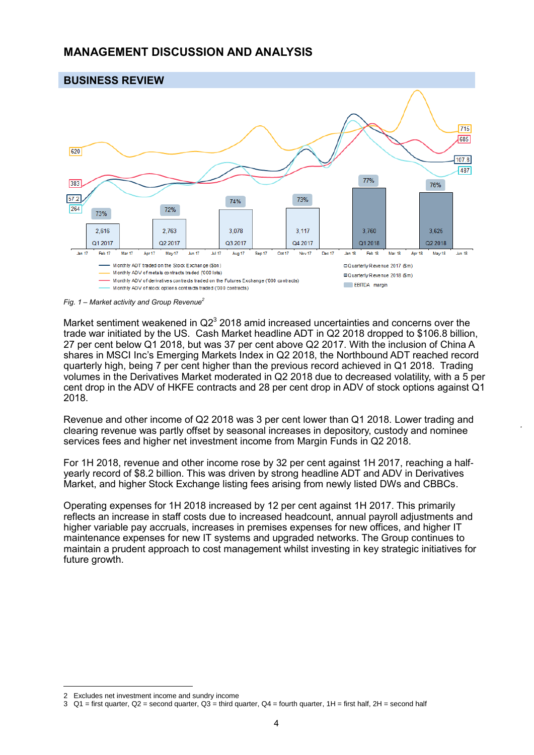### **MANAGEMENT DISCUSSION AND ANALYSIS**



*Fig. 1 – Market activity and Group Revenue<sup>2</sup>*

Market sentiment weakened in  $Q2<sup>3</sup>$  2018 amid increased uncertainties and concerns over the trade war initiated by the US. Cash Market headline ADT in Q2 2018 dropped to \$106.8 billion, 27 per cent below Q1 2018, but was 37 per cent above Q2 2017. With the inclusion of China A shares in MSCI Inc's Emerging Markets Index in Q2 2018, the Northbound ADT reached record quarterly high, being 7 per cent higher than the previous record achieved in Q1 2018. Trading volumes in the Derivatives Market moderated in Q2 2018 due to decreased volatility, with a 5 per cent drop in the ADV of HKFE contracts and 28 per cent drop in ADV of stock options against Q1 2018.

Revenue and other income of Q2 2018 was 3 per cent lower than Q1 2018. Lower trading and clearing revenue was partly offset by seasonal increases in depository, custody and nominee services fees and higher net investment income from Margin Funds in Q2 2018.

For 1H 2018, revenue and other income rose by 32 per cent against 1H 2017, reaching a halfyearly record of \$8.2 billion. This was driven by strong headline ADT and ADV in Derivatives Market, and higher Stock Exchange listing fees arising from newly listed DWs and CBBCs.

Operating expenses for 1H 2018 increased by 12 per cent against 1H 2017. This primarily reflects an increase in staff costs due to increased headcount, annual payroll adjustments and higher variable pay accruals, increases in premises expenses for new offices, and higher IT maintenance expenses for new IT systems and upgraded networks. The Group continues to maintain a prudent approach to cost management whilst investing in key strategic initiatives for future growth.

 $\overline{a}$ 

<sup>2</sup> Excludes net investment income and sundry income

<sup>3</sup>  $Q1$  = first quarter,  $Q2$  = second quarter,  $Q3$  = third quarter,  $Q4$  = fourth quarter, 1H = first half, 2H = second half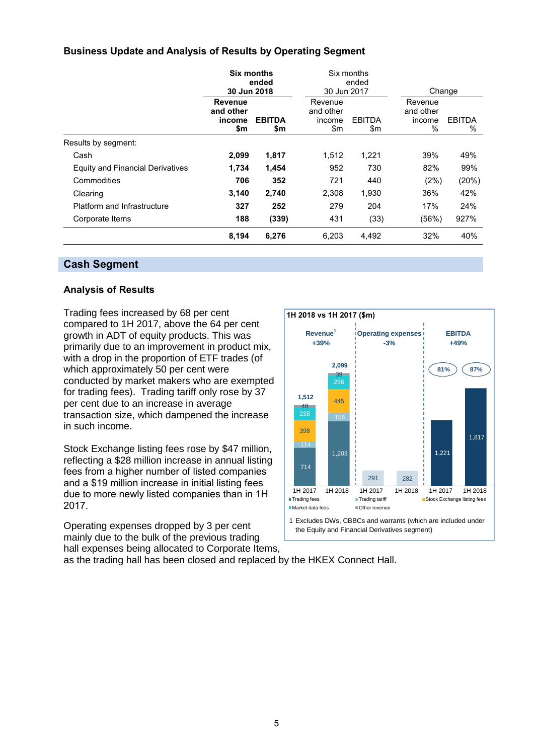#### **Business Update and Analysis of Results by Operating Segment**

|                                         | <b>Six months</b><br>ended<br>30 Jun 2018 |                      |                                       | Six months<br>ended  |                                        |                       |
|-----------------------------------------|-------------------------------------------|----------------------|---------------------------------------|----------------------|----------------------------------------|-----------------------|
|                                         |                                           |                      | 30 Jun 2017                           |                      |                                        | Change                |
|                                         | Revenue<br>and other<br>income<br>\$m     | <b>EBITDA</b><br>\$m | Revenue<br>and other<br>income<br>\$m | <b>EBITDA</b><br>\$m | Revenue<br>and other<br>income<br>$\%$ | <b>EBITDA</b><br>$\%$ |
| Results by segment:                     |                                           |                      |                                       |                      |                                        |                       |
| Cash                                    | 2,099                                     | 1,817                | 1,512                                 | 1,221                | 39%                                    | 49%                   |
| <b>Equity and Financial Derivatives</b> | 1,734                                     | 1,454                | 952                                   | 730                  | 82%                                    | 99%                   |
| Commodities                             | 706                                       | 352                  | 721                                   | 440                  | (2%)                                   | (20%)                 |
| Clearing                                | 3,140                                     | 2,740                | 2,308                                 | 1,930                | 36%                                    | 42%                   |
| Platform and Infrastructure             | 327                                       | 252                  | 279                                   | 204                  | 17%                                    | 24%                   |
| Corporate Items                         | 188                                       | (339)                | 431                                   | (33)                 | (56%)                                  | 927%                  |
|                                         | 8,194                                     | 6,276                | 6,203                                 | 4,492                | 32%                                    | 40%                   |

#### **Cash Segment**

#### **Analysis of Results**

Trading fees increased by 68 per cent compared to 1H 2017, above the 64 per cent growth in ADT of equity products. This was primarily due to an improvement in product mix, with a drop in the proportion of ETF trades (of which approximately 50 per cent were conducted by market makers who are exempted for trading fees). Trading tariff only rose by 37 per cent due to an increase in average transaction size, which dampened the increase in such income.

Stock Exchange listing fees rose by \$47 million, reflecting a \$28 million increase in annual listing fees from a higher number of listed companies and a \$19 million increase in initial listing fees due to more newly listed companies than in 1H 2017.

Operating expenses dropped by 3 per cent mainly due to the bulk of the previous trading hall expenses being allocated to Corporate Items,



1 Excludes DWs, CBBCs and warrants (which are included under the Equity and Financial Derivatives segment)

as the trading hall has been closed and replaced by the HKEX Connect Hall.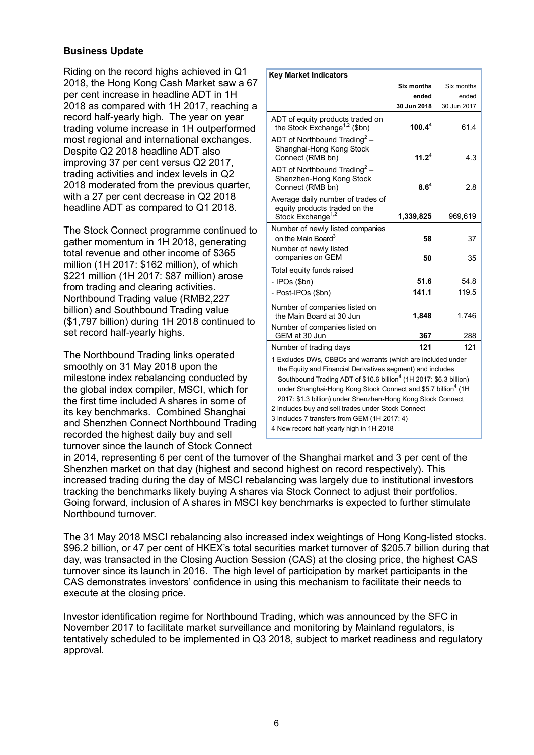#### **Business Update**

Riding on the record highs achieved in Q1 2018, the Hong Kong Cash Market saw a 67 per cent increase in headline ADT in 1H 2018 as compared with 1H 2017, reaching a record half-yearly high. The year on year trading volume increase in 1H outperformed most regional and international exchanges. Despite Q2 2018 headline ADT also improving 37 per cent versus Q2 2017, trading activities and index levels in Q2 2018 moderated from the previous quarter, with a 27 per cent decrease in Q2 2018 headline ADT as compared to Q1 2018.

The Stock Connect programme continued to gather momentum in 1H 2018, generating total revenue and other income of \$365 million (1H 2017: \$162 million), of which \$221 million (1H 2017: \$87 million) arose from trading and clearing activities. Northbound Trading value (RMB2,227 billion) and Southbound Trading value (\$1,797 billion) during 1H 2018 continued to set record half-yearly highs.

The Northbound Trading links operated smoothly on 31 May 2018 upon the milestone index rebalancing conducted by the global index compiler, MSCI, which for the first time included A shares in some of its key benchmarks. Combined Shanghai and Shenzhen Connect Northbound Trading recorded the highest daily buy and sell turnover since the launch of Stock Connect

| <b>Key Market Indicators</b>                                                                                                                                                                                                                                                                                                                                                                                                                                   |             |             |  |  |
|----------------------------------------------------------------------------------------------------------------------------------------------------------------------------------------------------------------------------------------------------------------------------------------------------------------------------------------------------------------------------------------------------------------------------------------------------------------|-------------|-------------|--|--|
|                                                                                                                                                                                                                                                                                                                                                                                                                                                                | Six months  | Six months  |  |  |
|                                                                                                                                                                                                                                                                                                                                                                                                                                                                | ended       | ended       |  |  |
|                                                                                                                                                                                                                                                                                                                                                                                                                                                                | 30 Jun 2018 | 30 Jun 2017 |  |  |
| ADT of equity products traded on<br>the Stock Exchange <sup>1,2</sup> (\$bn)                                                                                                                                                                                                                                                                                                                                                                                   | 100.4 $4^4$ | 61.4        |  |  |
| ADT of Northbound Trading <sup>2</sup> –<br>Shanghai-Hong Kong Stock<br>Connect (RMB bn)                                                                                                                                                                                                                                                                                                                                                                       | $11.2^4$    | 4.3         |  |  |
| ADT of Northbound Trading <sup>2</sup> -<br>Shenzhen-Hong Kong Stock<br>Connect (RMB bn)                                                                                                                                                                                                                                                                                                                                                                       | $8.6^4$     | 2.8         |  |  |
| Average daily number of trades of<br>equity products traded on the<br>Stock Exchange <sup>1,2</sup>                                                                                                                                                                                                                                                                                                                                                            | 1,339,825   | 969,619     |  |  |
| Number of newly listed companies<br>on the Main Board <sup>3</sup>                                                                                                                                                                                                                                                                                                                                                                                             | 58          | 37          |  |  |
| Number of newly listed<br>companies on GEM                                                                                                                                                                                                                                                                                                                                                                                                                     | 50          | 35          |  |  |
| Total equity funds raised                                                                                                                                                                                                                                                                                                                                                                                                                                      |             |             |  |  |
| - IPOs (\$bn)                                                                                                                                                                                                                                                                                                                                                                                                                                                  | 51.6        | 54.8        |  |  |
| - Post-IPOs (\$bn)                                                                                                                                                                                                                                                                                                                                                                                                                                             | 141.1       | 119.5       |  |  |
| Number of companies listed on<br>the Main Board at 30 Jun                                                                                                                                                                                                                                                                                                                                                                                                      | 1,848       | 1,746       |  |  |
| Number of companies listed on<br>GEM at 30 Jun                                                                                                                                                                                                                                                                                                                                                                                                                 | 367         | 288         |  |  |
| Number of trading days                                                                                                                                                                                                                                                                                                                                                                                                                                         | 121         | 121         |  |  |
| 1 Excludes DWs, CBBCs and warrants (which are included under<br>the Equity and Financial Derivatives segment) and includes<br>Southbound Trading ADT of \$10.6 billion <sup>4</sup> (1H 2017: \$6.3 billion)<br>under Shanghai-Hong Kong Stock Connect and \$5.7 billion <sup>4</sup> (1H<br>2017: \$1.3 billion) under Shenzhen-Hong Kong Stock Connect<br>2 Includes buy and sell trades under Stock Connect<br>3 Includes 7 transfers from GEM (1H 2017: 4) |             |             |  |  |
| 4 New record half-yearly high in 1H 2018                                                                                                                                                                                                                                                                                                                                                                                                                       |             |             |  |  |

in 2014, representing 6 per cent of the turnover of the Shanghai market and 3 per cent of the Shenzhen market on that day (highest and second highest on record respectively). This increased trading during the day of MSCI rebalancing was largely due to institutional investors tracking the benchmarks likely buying A shares via Stock Connect to adjust their portfolios. Going forward, inclusion of A shares in MSCI key benchmarks is expected to further stimulate Northbound turnover.

The 31 May 2018 MSCI rebalancing also increased index weightings of Hong Kong-listed stocks. \$96.2 billion, or 47 per cent of HKEX's total securities market turnover of \$205.7 billion during that day, was transacted in the Closing Auction Session (CAS) at the closing price, the highest CAS turnover since its launch in 2016. The high level of participation by market participants in the CAS demonstrates investors' confidence in using this mechanism to facilitate their needs to execute at the closing price.

Investor identification regime for Northbound Trading, which was announced by the SFC in November 2017 to facilitate market surveillance and monitoring by Mainland regulators, is tentatively scheduled to be implemented in Q3 2018, subject to market readiness and regulatory approval.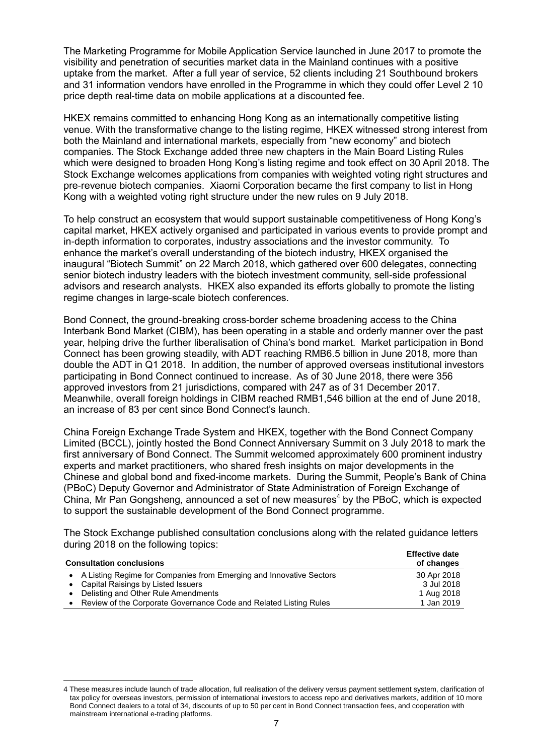The Marketing Programme for Mobile Application Service launched in June 2017 to promote the visibility and penetration of securities market data in the Mainland continues with a positive uptake from the market. After a full year of service, 52 clients including 21 Southbound brokers and 31 information vendors have enrolled in the Programme in which they could offer Level 2 10 price depth real-time data on mobile applications at a discounted fee.

HKEX remains committed to enhancing Hong Kong as an internationally competitive listing venue. With the transformative change to the listing regime, HKEX witnessed strong interest from both the Mainland and international markets, especially from "new economy" and biotech companies. The Stock Exchange added three new chapters in the Main Board Listing Rules which were designed to broaden Hong Kong's listing regime and took effect on 30 April 2018. The Stock Exchange welcomes applications from companies with weighted voting right structures and pre-revenue biotech companies. Xiaomi Corporation became the first company to list in Hong Kong with a weighted voting right structure under the new rules on 9 July 2018.

To help construct an ecosystem that would support sustainable competitiveness of Hong Kong's capital market, HKEX actively organised and participated in various events to provide prompt and in-depth information to corporates, industry associations and the investor community. To enhance the market's overall understanding of the biotech industry, HKEX organised the inaugural "Biotech Summit" on 22 March 2018, which gathered over 600 delegates, connecting senior biotech industry leaders with the biotech investment community, sell-side professional advisors and research analysts. HKEX also expanded its efforts globally to promote the listing regime changes in large-scale biotech conferences.

Bond Connect, the ground-breaking cross-border scheme broadening access to the China Interbank Bond Market (CIBM), has been operating in a stable and orderly manner over the past year, helping drive the further liberalisation of China's bond market. Market participation in Bond Connect has been growing steadily, with ADT reaching RMB6.5 billion in June 2018, more than double the ADT in Q1 2018. In addition, the number of approved overseas institutional investors participating in Bond Connect continued to increase. As of 30 June 2018, there were 356 approved investors from 21 jurisdictions, compared with 247 as of 31 December 2017. Meanwhile, overall foreign holdings in CIBM reached RMB1,546 billion at the end of June 2018, an increase of 83 per cent since Bond Connect's launch.

China Foreign Exchange Trade System and HKEX, together with the Bond Connect Company Limited (BCCL), jointly hosted the Bond Connect Anniversary Summit on 3 July 2018 to mark the first anniversary of Bond Connect. The Summit welcomed approximately 600 prominent industry experts and market practitioners, who shared fresh insights on major developments in the Chinese and global bond and fixed-income markets. During the Summit, People's Bank of China (PBoC) Deputy Governor and Administrator of State Administration of Foreign Exchange of China, Mr Pan Gongsheng, announced a set of new measures<sup>4</sup> by the PBoC, which is expected to support the sustainable development of the Bond Connect programme.

The Stock Exchange published consultation conclusions along with the related guidance letters during 2018 on the following topics:

| <b>Consultation conclusions</b> |                                                                       | <b>Effective date</b><br>of changes |
|---------------------------------|-----------------------------------------------------------------------|-------------------------------------|
|                                 | • A Listing Regime for Companies from Emerging and Innovative Sectors | 30 Apr 2018                         |
|                                 | • Capital Raisings by Listed Issuers                                  | 3 Jul 2018                          |
|                                 | Delisting and Other Rule Amendments                                   | 1 Aug 2018                          |
|                                 | Review of the Corporate Governance Code and Related Listing Rules     | 1 Jan 2019                          |

 $\overline{a}$ 

<sup>4</sup> These measures include launch of trade allocation, full realisation of the delivery versus payment settlement system, clarification of tax policy for overseas investors, permission of international investors to access repo and derivatives markets, addition of 10 more Bond Connect dealers to a total of 34, discounts of up to 50 per cent in Bond Connect transaction fees, and cooperation with mainstream international e-trading platforms.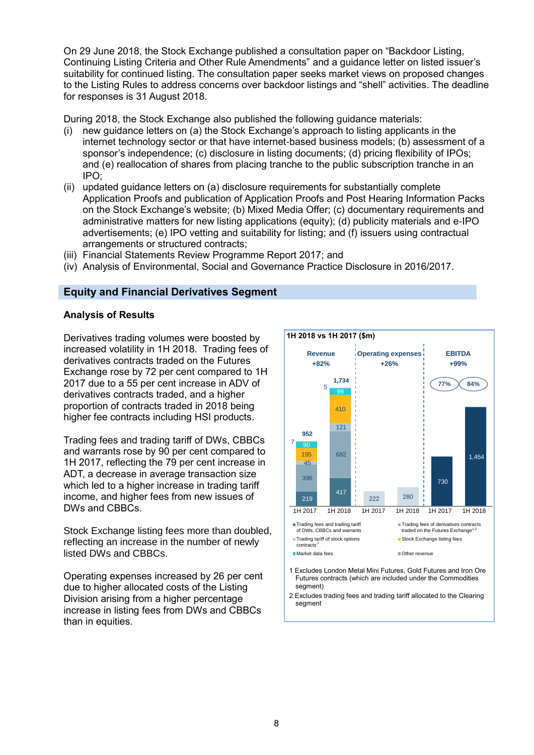On 29 June 2018, the Stock Exchange published a consultation paper on "Backdoor Listing, Continuing Listing Criteria and Other Rule Amendments" and a guidance letter on listed issuer's suitability for continued listing. The consultation paper seeks market views on proposed changes to the Listing Rules to address concerns over backdoor listings and "shell" activities. The deadline for responses is 31 August 2018.

During 2018, the Stock Exchange also published the following guidance materials:

- (i) new guidance letters on (a) the Stock Exchange's approach to listing applicants in the internet technology sector or that have internet-based business models; (b) assessment of a sponsor's independence; (c) disclosure in listing documents; (d) pricing flexibility of IPOs; and (e) reallocation of shares from placing tranche to the public subscription tranche in an IPO;
- (ii) updated guidance letters on (a) disclosure requirements for substantially complete Application Proofs and publication of Application Proofs and Post Hearing Information Packs on the Stock Exchange's website; (b) Mixed Media Offer; (c) documentary requirements and administrative matters for new listing applications (equity); (d) publicity materials and e-IPO advertisements; (e) IPO vetting and suitability for listing; and (f) issuers using contractual arrangements or structured contracts;
- (iii) Financial Statements Review Programme Report 2017; and
- (iv) Analysis of Environmental, Social and Governance Practice Disclosure in 2016/2017.

#### **Equity and Financial Derivatives Segment**

#### **Analysis of Results**

Derivatives trading volumes were boosted by increased volatility in 1H 2018. Trading fees of derivatives contracts traded on the Futures Exchange rose by 72 per cent compared to 1H 2017 due to a 55 per cent increase in ADV of derivatives contracts traded, and a higher proportion of contracts traded in 2018 being higher fee contracts including HSI products.

Trading fees and trading tariff of DWs, CBBCs and warrants rose by 90 per cent compared to 1H 2017, reflecting the 79 per cent increase in ADT, a decrease in average transaction size which led to a higher increase in trading tariff income, and higher fees from new issues of DWs and CBBCs.

Stock Exchange listing fees more than doubled, reflecting an increase in the number of newly listed DWs and CBBCs.

Operating expenses increased by 26 per cent due to higher allocated costs of the Listing Division arising from a higher percentage increase in listing fees from DWs and CBBCs than in equities.



- Futures contracts (which are included under the Commodities segment)
- 2 Excludes trading fees and trading tariff allocated to the Clearing segment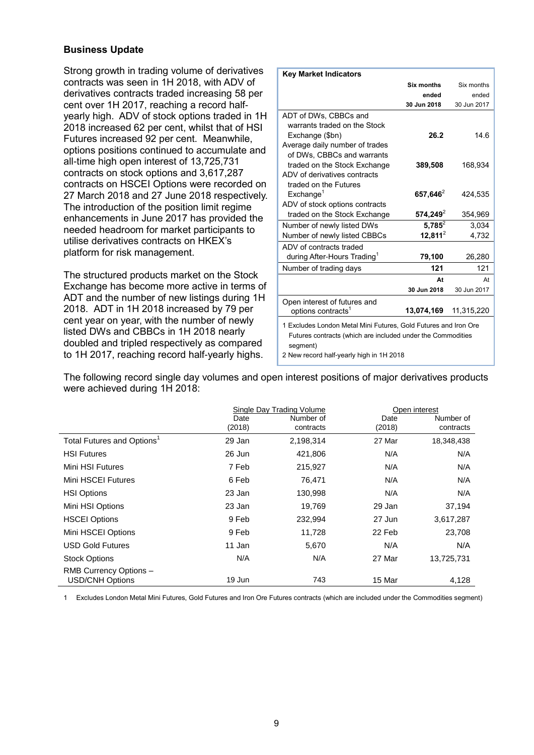#### **Business Update**

Strong growth in trading volume of derivatives contracts was seen in 1H 2018, with ADV of derivatives contracts traded increasing 58 per cent over 1H 2017, reaching a record halfyearly high. ADV of stock options traded in 1H 2018 increased 62 per cent, whilst that of HSI Futures increased 92 per cent. Meanwhile, options positions continued to accumulate and all-time high open interest of 13,725,731 contracts on stock options and 3,617,287 contracts on HSCEI Options were recorded on 27 March 2018 and 27 June 2018 respectively. The introduction of the position limit regime enhancements in June 2017 has provided the needed headroom for market participants to utilise derivatives contracts on HKEX's platform for risk management.

The structured products market on the Stock Exchange has become more active in terms of ADT and the number of new listings during 1H 2018. ADT in 1H 2018 increased by 79 per cent year on year, with the number of newly listed DWs and CBBCs in 1H 2018 nearly doubled and tripled respectively as compared to 1H 2017, reaching record half-yearly highs.

| <b>Key Market Indicators</b>                                    |                   |             |  |  |  |
|-----------------------------------------------------------------|-------------------|-------------|--|--|--|
|                                                                 | <b>Six months</b> | Six months  |  |  |  |
|                                                                 | ended             | ended       |  |  |  |
|                                                                 | 30 Jun 2018       | 30 Jun 2017 |  |  |  |
| ADT of DWs, CBBCs and                                           |                   |             |  |  |  |
| warrants traded on the Stock                                    |                   |             |  |  |  |
| Exchange (\$bn)                                                 | 26.2              | 14.6        |  |  |  |
| Average daily number of trades                                  |                   |             |  |  |  |
| of DWs. CBBCs and warrants                                      |                   |             |  |  |  |
| traded on the Stock Exchange                                    | 389,508           | 168,934     |  |  |  |
| ADV of derivatives contracts                                    |                   |             |  |  |  |
| traded on the Futures                                           |                   |             |  |  |  |
| Exchange <sup>1</sup>                                           | 657,646 $2$       | 424,535     |  |  |  |
| ADV of stock options contracts                                  |                   |             |  |  |  |
| traded on the Stock Exchange                                    | $574,249^2$       | 354,969     |  |  |  |
| Number of newly listed DWs                                      | $5,785^2$         | 3,034       |  |  |  |
| Number of newly listed CBBCs                                    | $12,811^2$        | 4,732       |  |  |  |
| ADV of contracts traded                                         |                   |             |  |  |  |
| during After-Hours Trading <sup>1</sup>                         | 79,100            | 26,280      |  |  |  |
| Number of trading days                                          | 121               | 121         |  |  |  |
|                                                                 | At                | At          |  |  |  |
|                                                                 | 30 Jun 2018       | 30 Jun 2017 |  |  |  |
| Open interest of futures and                                    |                   |             |  |  |  |
| options contracts <sup>1</sup>                                  | 13,074,169        | 11,315,220  |  |  |  |
| 1 Excludes London Metal Mini Futures, Gold Futures and Iron Ore |                   |             |  |  |  |
| Futures contracts (which are included under the Commodities     |                   |             |  |  |  |
| segment)                                                        |                   |             |  |  |  |
| 2 New record half-yearly high in 1H 2018                        |                   |             |  |  |  |

The following record single day volumes and open interest positions of major derivatives products were achieved during 1H 2018:

|                                        | Single Day Trading Volume |           | Open interest        |        |
|----------------------------------------|---------------------------|-----------|----------------------|--------|
|                                        | Date                      | Number of | Number of<br>Date    |        |
|                                        | (2018)                    | contracts | (2018)<br>contracts  |        |
| Total Futures and Options <sup>1</sup> | 29 Jan                    | 2,198,314 | 27 Mar<br>18,348,438 |        |
| <b>HSI Futures</b>                     | 26 Jun                    | 421,806   | N/A                  | N/A    |
| Mini HSI Futures                       | 7 Feb                     | 215,927   | N/A                  | N/A    |
| Mini HSCEI Futures                     | 6 Feb                     | 76,471    | N/A                  | N/A    |
| <b>HSI Options</b>                     | 23 Jan                    | 130,998   | N/A                  | N/A    |
| Mini HSI Options                       | 23 Jan                    | 19,769    | 29 Jan               | 37,194 |
| <b>HSCEI Options</b>                   | 9 Feb                     | 232,994   | 27 Jun<br>3,617,287  |        |
| Mini HSCEI Options                     | 9 Feb                     | 11,728    | 22 Feb               | 23,708 |
| <b>USD Gold Futures</b>                | 11 Jan                    | 5,670     | N/A                  | N/A    |
| <b>Stock Options</b>                   | N/A                       | N/A       | 27 Mar<br>13,725,731 |        |
| RMB Currency Options -                 |                           |           |                      |        |
| <b>USD/CNH Options</b>                 | 19 Jun                    | 743       | 15 Mar               | 4,128  |

1 Excludes London Metal Mini Futures, Gold Futures and Iron Ore Futures contracts (which are included under the Commodities segment)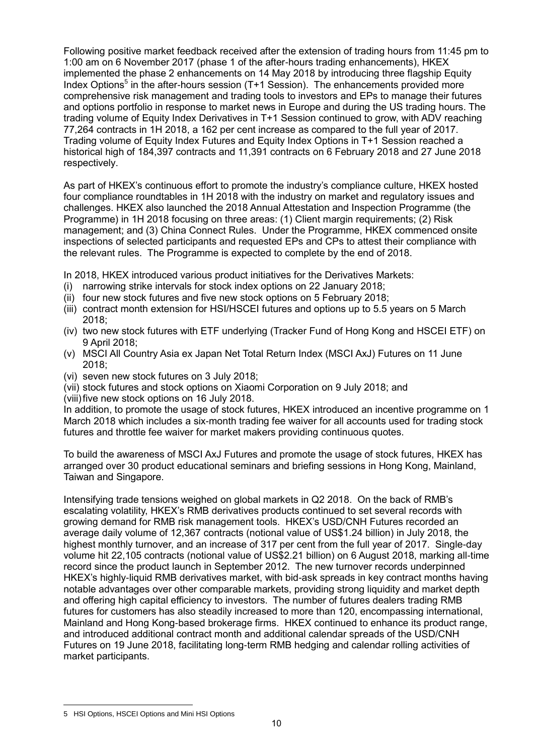Following positive market feedback received after the extension of trading hours from 11:45 pm to 1:00 am on 6 November 2017 (phase 1 of the after-hours trading enhancements), HKEX implemented the phase 2 enhancements on 14 May 2018 by introducing three flagship Equity Index Options<sup>5</sup> in the after-hours session (T+1 Session). The enhancements provided more comprehensive risk management and trading tools to investors and EPs to manage their futures and options portfolio in response to market news in Europe and during the US trading hours. The trading volume of Equity Index Derivatives in T+1 Session continued to grow, with ADV reaching 77,264 contracts in 1H 2018, a 162 per cent increase as compared to the full year of 2017. Trading volume of Equity Index Futures and Equity Index Options in T+1 Session reached a historical high of 184,397 contracts and 11,391 contracts on 6 February 2018 and 27 June 2018 respectively.

As part of HKEX's continuous effort to promote the industry's compliance culture, HKEX hosted four compliance roundtables in 1H 2018 with the industry on market and regulatory issues and challenges. HKEX also launched the 2018 Annual Attestation and Inspection Programme (the Programme) in 1H 2018 focusing on three areas: (1) Client margin requirements; (2) Risk management; and (3) China Connect Rules. Under the Programme, HKEX commenced onsite inspections of selected participants and requested EPs and CPs to attest their compliance with the relevant rules. The Programme is expected to complete by the end of 2018.

In 2018, HKEX introduced various product initiatives for the Derivatives Markets:

- (i) narrowing strike intervals for stock index options on 22 January 2018;
- (ii) four new stock futures and five new stock options on 5 February 2018;
- (iii) contract month extension for HSI/HSCEI futures and options up to 5.5 years on 5 March 2018;
- (iv) two new stock futures with ETF underlying (Tracker Fund of Hong Kong and HSCEI ETF) on 9 April 2018;
- (v) MSCI All Country Asia ex Japan Net Total Return Index (MSCI AxJ) Futures on 11 June 2018;
- (vi) seven new stock futures on 3 July 2018;
- (vii) stock futures and stock options on Xiaomi Corporation on 9 July 2018; and (viii)five new stock options on 16 July 2018.

In addition, to promote the usage of stock futures, HKEX introduced an incentive programme on 1 March 2018 which includes a six-month trading fee waiver for all accounts used for trading stock futures and throttle fee waiver for market makers providing continuous quotes.

To build the awareness of MSCI AxJ Futures and promote the usage of stock futures, HKEX has arranged over 30 product educational seminars and briefing sessions in Hong Kong, Mainland, Taiwan and Singapore.

Intensifying trade tensions weighed on global markets in Q2 2018. On the back of RMB's escalating volatility, HKEX's RMB derivatives products continued to set several records with growing demand for RMB risk management tools. HKEX's USD/CNH Futures recorded an average daily volume of 12,367 contracts (notional value of US\$1.24 billion) in July 2018, the highest monthly turnover, and an increase of 317 per cent from the full year of 2017. Single-day volume hit 22,105 contracts (notional value of US\$2.21 billion) on 6 August 2018, marking all-time record since the product launch in September 2012. The new turnover records underpinned HKEX's highly-liquid RMB derivatives market, with bid-ask spreads in key contract months having notable advantages over other comparable markets, providing strong liquidity and market depth and offering high capital efficiency to investors. The number of futures dealers trading RMB futures for customers has also steadily increased to more than 120, encompassing international, Mainland and Hong Kong-based brokerage firms. HKEX continued to enhance its product range, and introduced additional contract month and additional calendar spreads of the USD/CNH Futures on 19 June 2018, facilitating long-term RMB hedging and calendar rolling activities of market participants.

 $\overline{a}$ 5 HSI Options, HSCEI Options and Mini HSI Options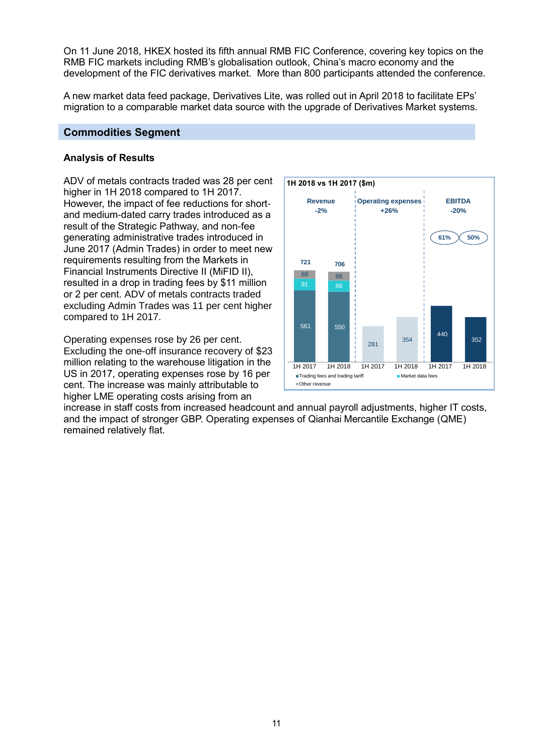On 11 June 2018, HKEX hosted its fifth annual RMB FIC Conference, covering key topics on the RMB FIC markets including RMB's globalisation outlook, China's macro economy and the development of the FIC derivatives market. More than 800 participants attended the conference.

A new market data feed package, Derivatives Lite, was rolled out in April 2018 to facilitate EPs' migration to a comparable market data source with the upgrade of Derivatives Market systems.

#### **Commodities Segment**

#### **Analysis of Results**

ADV of metals contracts traded was 28 per cent higher in 1H 2018 compared to 1H 2017. However, the impact of fee reductions for shortand medium-dated carry trades introduced as a result of the Strategic Pathway, and non-fee generating administrative trades introduced in June 2017 (Admin Trades) in order to meet new requirements resulting from the Markets in Financial Instruments Directive II (MiFID II), resulted in a drop in trading fees by \$11 million or 2 per cent. ADV of metals contracts traded excluding Admin Trades was 11 per cent higher compared to 1H 2017.

Operating expenses rose by 26 per cent. Excluding the one-off insurance recovery of \$23 million relating to the warehouse litigation in the US in 2017, operating expenses rose by 16 per cent. The increase was mainly attributable to higher LME operating costs arising from an



increase in staff costs from increased headcount and annual payroll adjustments, higher IT costs, and the impact of stronger GBP. Operating expenses of Qianhai Mercantile Exchange (QME) remained relatively flat.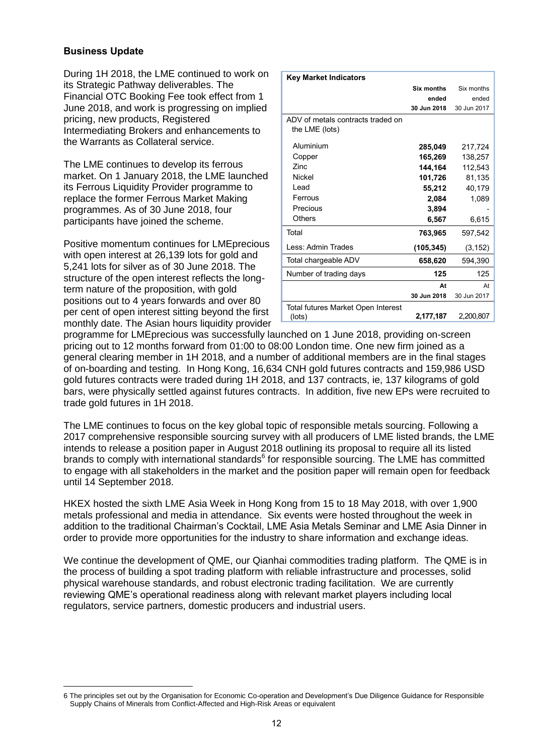#### **Business Update**

During 1H 2018, the LME continued to work on its Strategic Pathway deliverables. The Financial OTC Booking Fee took effect from 1 June 2018, and work is progressing on implied pricing, new products, Registered Intermediating Brokers and enhancements to the Warrants as Collateral service.

The LME continues to develop its ferrous market. On 1 January 2018, the LME launched its Ferrous Liquidity Provider programme to replace the former Ferrous Market Making programmes. As of 30 June 2018, four participants have joined the scheme.

Positive momentum continues for LMEprecious with open interest at 26,139 lots for gold and 5,241 lots for silver as of 30 June 2018. The structure of the open interest reflects the longterm nature of the proposition, with gold positions out to 4 years forwards and over 80 per cent of open interest sitting beyond the first monthly date. The Asian hours liquidity provider

| <b>Key Market Indicators</b>       |             |             |
|------------------------------------|-------------|-------------|
|                                    | Six months  | Six months  |
|                                    | ended       | ended       |
|                                    | 30 Jun 2018 | 30 Jun 2017 |
| ADV of metals contracts traded on  |             |             |
| the LME (lots)                     |             |             |
| Aluminium                          | 285,049     | 217,724     |
| Copper                             | 165,269     | 138,257     |
| Zinc.                              | 144,164     | 112,543     |
| <b>Nickel</b>                      | 101,726     | 81,135      |
| Lead                               | 55,212      | 40,179      |
| Ferrous                            | 2,084       | 1,089       |
| Precious                           | 3,894       |             |
| Others                             | 6,567       | 6,615       |
| Total                              | 763,965     | 597,542     |
| I ess: Admin Trades                | (105, 345)  | (3, 152)    |
| Total chargeable ADV               | 658,620     | 594,390     |
| Number of trading days             | 125         | 125         |
|                                    | At          | At          |
|                                    | 30 Jun 2018 | 30 Jun 2017 |
| Total futures Market Open Interest |             |             |
| (lots)                             | 2,177,187   | 2,200,807   |

programme for LMEprecious was successfully launched on 1 June 2018, providing on-screen pricing out to 12 months forward from 01:00 to 08:00 London time. One new firm joined as a general clearing member in 1H 2018, and a number of additional members are in the final stages of on-boarding and testing. In Hong Kong, 16,634 CNH gold futures contracts and 159,986 USD gold futures contracts were traded during 1H 2018, and 137 contracts, ie, 137 kilograms of gold bars, were physically settled against futures contracts. In addition, five new EPs were recruited to trade gold futures in 1H 2018.

The LME continues to focus on the key global topic of responsible metals sourcing. Following a 2017 comprehensive responsible sourcing survey with all producers of LME listed brands, the LME intends to release a position paper in August 2018 outlining its proposal to require all its listed brands to comply with international standards<sup>6</sup> for responsible sourcing. The LME has committed to engage with all stakeholders in the market and the position paper will remain open for feedback until 14 September 2018.

HKEX hosted the sixth LME Asia Week in Hong Kong from 15 to 18 May 2018, with over 1,900 metals professional and media in attendance. Six events were hosted throughout the week in addition to the traditional Chairman's Cocktail, LME Asia Metals Seminar and LME Asia Dinner in order to provide more opportunities for the industry to share information and exchange ideas.

We continue the development of QME, our Qianhai commodities trading platform. The QME is in the process of building a spot trading platform with reliable infrastructure and processes, solid physical warehouse standards, and robust electronic trading facilitation. We are currently reviewing QME's operational readiness along with relevant market players including local regulators, service partners, domestic producers and industrial users.

 $\overline{a}$ 6 The principles set out by the Organisation for Economic Co-operation and Development's Due Diligence Guidance for Responsible Supply Chains of Minerals from Conflict-Affected and High-Risk Areas or equivalent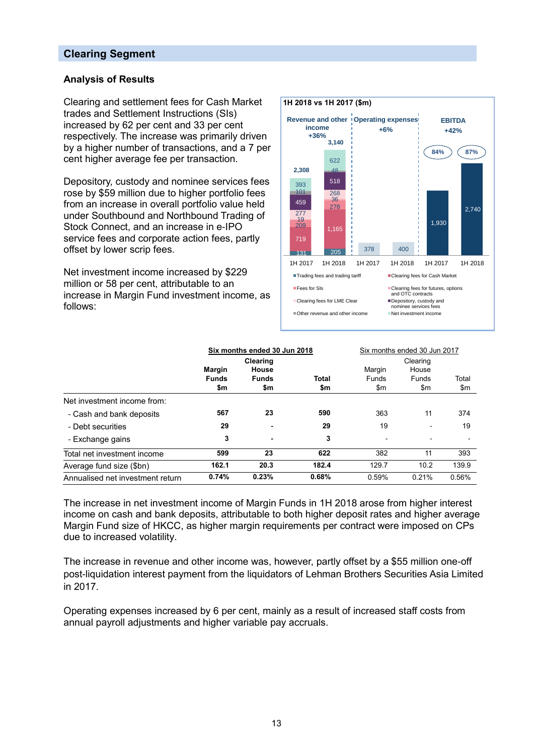#### **Clearing Segment**

#### **Analysis of Results**

Clearing and settlement fees for Cash Market trades and Settlement Instructions (SIs) increased by 62 per cent and 33 per cent respectively. The increase was primarily driven by a higher number of transactions, and a 7 per cent higher average fee per transaction.

Depository, custody and nominee services fees rose by \$59 million due to higher portfolio fees from an increase in overall portfolio value held under Southbound and Northbound Trading of Stock Connect, and an increase in e-IPO service fees and corporate action fees, partly offset by lower scrip fees.

Net investment income increased by \$229 million or 58 per cent, attributable to an increase in Margin Fund investment income, as follows:



|                                  | Six months ended 30 Jun 2018  |                       |              | Six months ended 30 Jun 2017 |                       |       |
|----------------------------------|-------------------------------|-----------------------|--------------|------------------------------|-----------------------|-------|
|                                  |                               | Clearing              |              |                              | Clearing              |       |
|                                  | <b>Margin</b><br><b>Funds</b> | House<br><b>Funds</b> | <b>Total</b> | Margin<br><b>Funds</b>       | House<br><b>Funds</b> | Total |
|                                  | \$m                           | \$m                   | \$m          | \$m                          | \$m                   | \$m   |
| Net investment income from:      |                               |                       |              |                              |                       |       |
| - Cash and bank deposits         | 567                           | 23                    | 590          | 363                          | 11                    | 374   |
| - Debt securities                | 29                            |                       | 29           | 19                           | ۰                     | 19    |
| - Exchange gains                 | 3                             | ۰                     | 3            | $\sim$                       | $\blacksquare$        |       |
| Total net investment income      | 599                           | 23                    | 622          | 382                          | 11                    | 393   |
| Average fund size (\$bn)         | 162.1                         | 20.3                  | 182.4        | 129.7                        | 10.2                  | 139.9 |
| Annualised net investment return | 0.74%                         | 0.23%                 | 0.68%        | 0.59%                        | 0.21%                 | 0.56% |

The increase in net investment income of Margin Funds in 1H 2018 arose from higher interest income on cash and bank deposits, attributable to both higher deposit rates and higher average Margin Fund size of HKCC, as higher margin requirements per contract were imposed on CPs due to increased volatility.

The increase in revenue and other income was, however, partly offset by a \$55 million one-off post-liquidation interest payment from the liquidators of Lehman Brothers Securities Asia Limited in 2017.

Operating expenses increased by 6 per cent, mainly as a result of increased staff costs from annual payroll adjustments and higher variable pay accruals.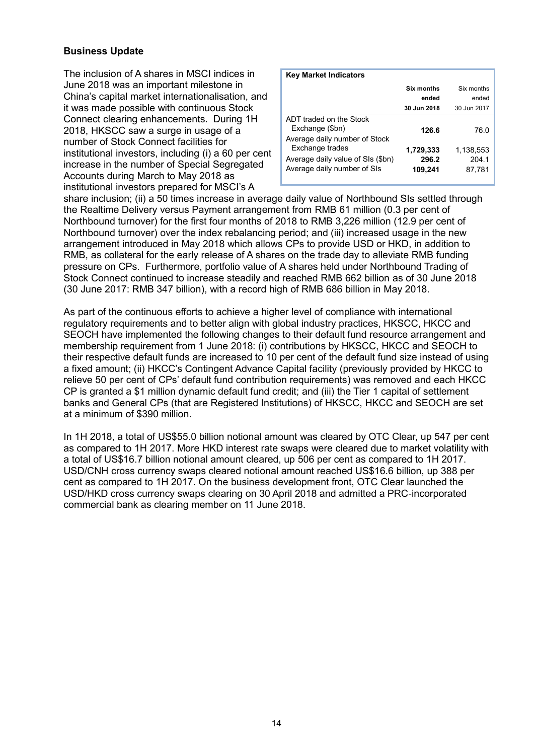#### **Business Update**

The inclusion of A shares in MSCI indices in June 2018 was an important milestone in China's capital market internationalisation, and it was made possible with continuous Stock Connect clearing enhancements. During 1H 2018, HKSCC saw a surge in usage of a number of Stock Connect facilities for institutional investors, including (i) a 60 per cent increase in the number of Special Segregated Accounts during March to May 2018 as institutional investors prepared for MSCI's A

| <b>Key Market Indicators</b>                                                                                         |                               |                              |
|----------------------------------------------------------------------------------------------------------------------|-------------------------------|------------------------------|
|                                                                                                                      | <b>Six months</b>             | Six months                   |
|                                                                                                                      | ended                         | ended                        |
|                                                                                                                      | 30 Jun 2018                   | 30 Jun 2017                  |
| ADT traded on the Stock<br>Exchange (\$bn)                                                                           | 126.6                         | 76.0                         |
| Average daily number of Stock<br>Exchange trades<br>Average daily value of SIs (\$bn)<br>Average daily number of SIs | 1,729,333<br>296.2<br>109,241 | 1,138,553<br>204.1<br>87.781 |
|                                                                                                                      |                               |                              |

share inclusion; (ii) a 50 times increase in average daily value of Northbound SIs settled through the Realtime Delivery versus Payment arrangement from RMB 61 million (0.3 per cent of Northbound turnover) for the first four months of 2018 to RMB 3,226 million (12.9 per cent of Northbound turnover) over the index rebalancing period; and (iii) increased usage in the new arrangement introduced in May 2018 which allows CPs to provide USD or HKD, in addition to RMB, as collateral for the early release of A shares on the trade day to alleviate RMB funding pressure on CPs. Furthermore, portfolio value of A shares held under Northbound Trading of Stock Connect continued to increase steadily and reached RMB 662 billion as of 30 June 2018 (30 June 2017: RMB 347 billion), with a record high of RMB 686 billion in May 2018.

As part of the continuous efforts to achieve a higher level of compliance with international regulatory requirements and to better align with global industry practices, HKSCC, HKCC and SEOCH have implemented the following changes to their default fund resource arrangement and membership requirement from 1 June 2018: (i) contributions by HKSCC, HKCC and SEOCH to their respective default funds are increased to 10 per cent of the default fund size instead of using a fixed amount; (ii) HKCC's Contingent Advance Capital facility (previously provided by HKCC to relieve 50 per cent of CPs' default fund contribution requirements) was removed and each HKCC CP is granted a \$1 million dynamic default fund credit; and (iii) the Tier 1 capital of settlement banks and General CPs (that are Registered Institutions) of HKSCC, HKCC and SEOCH are set at a minimum of \$390 million.

In 1H 2018, a total of US\$55.0 billion notional amount was cleared by OTC Clear, up 547 per cent as compared to 1H 2017. More HKD interest rate swaps were cleared due to market volatility with a total of US\$16.7 billion notional amount cleared, up 506 per cent as compared to 1H 2017. USD/CNH cross currency swaps cleared notional amount reached US\$16.6 billion, up 388 per cent as compared to 1H 2017. On the business development front, OTC Clear launched the USD/HKD cross currency swaps clearing on 30 April 2018 and admitted a PRC-incorporated commercial bank as clearing member on 11 June 2018.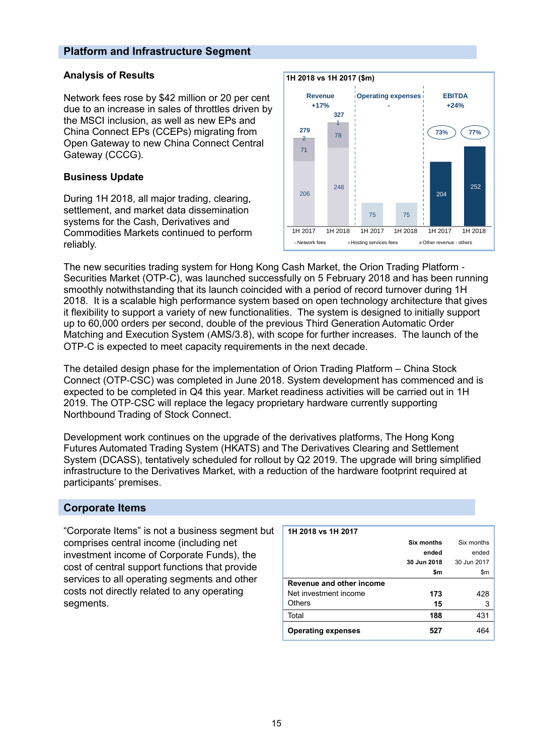#### **Platform and Infrastructure Segment**

#### **Analysis of Results**

Network fees rose by \$42 million or 20 per cent due to an increase in sales of throttles driven by the MSCI inclusion, as well as new EPs and China Connect EPs (CCEPs) migrating from Open Gateway to new China Connect Central Gateway (CCCG).

#### **Business Update**

During 1H 2018, all major trading, clearing, settlement, and market data dissemination systems for the Cash, Derivatives and Commodities Markets continued to perform reliably.



The new securities trading system for Hong Kong Cash Market, the Orion Trading Platform - Securities Market (OTP-C), was launched successfully on 5 February 2018 and has been running smoothly notwithstanding that its launch coincided with a period of record turnover during 1H 2018. It is a scalable high performance system based on open technology architecture that gives it flexibility to support a variety of new functionalities. The system is designed to initially support up to 60,000 orders per second, double of the previous Third Generation Automatic Order Matching and Execution System (AMS/3.8), with scope for further increases. The launch of the OTP-C is expected to meet capacity requirements in the next decade.

The detailed design phase for the implementation of Orion Trading Platform – China Stock Connect (OTP-CSC) was completed in June 2018. System development has commenced and is expected to be completed in Q4 this year. Market readiness activities will be carried out in 1H 2019. The OTP-CSC will replace the legacy proprietary hardware currently supporting Northbound Trading of Stock Connect.

Development work continues on the upgrade of the derivatives platforms, The Hong Kong Futures Automated Trading System (HKATS) and The Derivatives Clearing and Settlement System (DCASS), tentatively scheduled for rollout by Q2 2019. The upgrade will bring simplified infrastructure to the Derivatives Market, with a reduction of the hardware footprint required at participants' premises.

#### **Corporate Items**

"Corporate Items" is not a business segment but comprises central income (including net investment income of Corporate Funds), the cost of central support functions that provide services to all operating segments and other costs not directly related to any operating segments.

| 1H 2018 vs 1H 2017        |             |             |
|---------------------------|-------------|-------------|
|                           | Six months  | Six months  |
|                           | ended       | ended       |
|                           | 30 Jun 2018 | 30 Jun 2017 |
|                           | \$m         | \$m         |
| Revenue and other income  |             |             |
| Net investment income     | 173         | 428         |
| Others                    | 15          | 3           |
| Total                     | 188         | 431         |
| <b>Operating expenses</b> | 527         |             |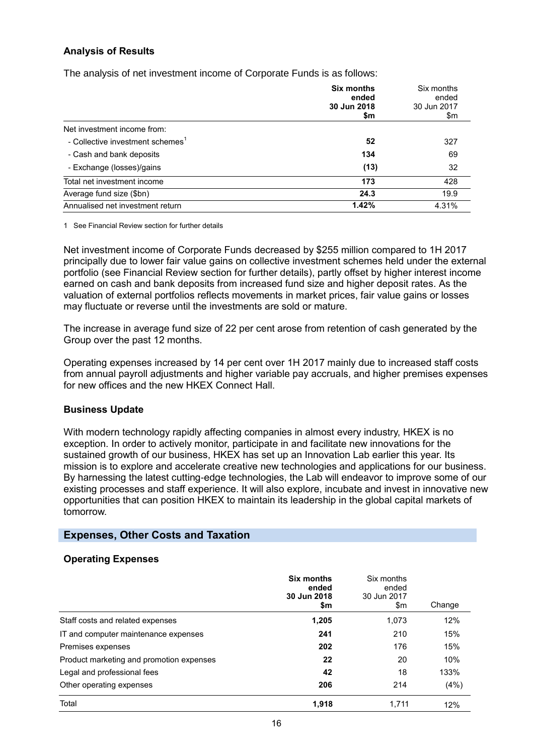#### **Analysis of Results**

The analysis of net investment income of Corporate Funds is as follows:

|                                              | <b>Six months</b><br>ended<br>30 Jun 2018<br>\$m | Six months<br>ended<br>30 Jun 2017<br>\$m |
|----------------------------------------------|--------------------------------------------------|-------------------------------------------|
| Net investment income from:                  |                                                  |                                           |
| - Collective investment schemes <sup>1</sup> | 52                                               | 327                                       |
| - Cash and bank deposits                     | 134                                              | 69                                        |
| - Exchange (losses)/gains                    | (13)                                             | 32                                        |
| Total net investment income                  | 173                                              | 428                                       |
| Average fund size (\$bn)                     | 24.3                                             | 19.9                                      |
| Annualised net investment return             | 1.42%                                            | 4.31%                                     |

1 See Financial Review section for further details

Net investment income of Corporate Funds decreased by \$255 million compared to 1H 2017 principally due to lower fair value gains on collective investment schemes held under the external portfolio (see Financial Review section for further details), partly offset by higher interest income earned on cash and bank deposits from increased fund size and higher deposit rates. As the valuation of external portfolios reflects movements in market prices, fair value gains or losses may fluctuate or reverse until the investments are sold or mature.

The increase in average fund size of 22 per cent arose from retention of cash generated by the Group over the past 12 months.

Operating expenses increased by 14 per cent over 1H 2017 mainly due to increased staff costs from annual payroll adjustments and higher variable pay accruals, and higher premises expenses for new offices and the new HKEX Connect Hall.

#### **Business Update**

With modern technology rapidly affecting companies in almost every industry, HKEX is no exception. In order to actively monitor, participate in and facilitate new innovations for the sustained growth of our business, HKEX has set up an Innovation Lab earlier this year. Its mission is to explore and accelerate creative new technologies and applications for our business. By harnessing the latest cutting-edge technologies, the Lab will endeavor to improve some of our existing processes and staff experience. It will also explore, incubate and invest in innovative new opportunities that can position HKEX to maintain its leadership in the global capital markets of tomorrow.

#### **Expenses, Other Costs and Taxation**

#### **Operating Expenses**

|                                          | <b>Six months</b><br>ended<br>30 Jun 2018<br>\$m | Six months<br>ended<br>30 Jun 2017<br>\$m | Change |
|------------------------------------------|--------------------------------------------------|-------------------------------------------|--------|
| Staff costs and related expenses         | 1,205                                            | 1,073                                     | 12%    |
| IT and computer maintenance expenses     | 241                                              | 210                                       | 15%    |
| Premises expenses                        | 202                                              | 176                                       | 15%    |
| Product marketing and promotion expenses | 22                                               | 20                                        | 10%    |
| Legal and professional fees              | 42                                               | 18                                        | 133%   |
| Other operating expenses                 | 206                                              | 214                                       | (4%)   |
| Total                                    | 1.918                                            | 1.711                                     | 12%    |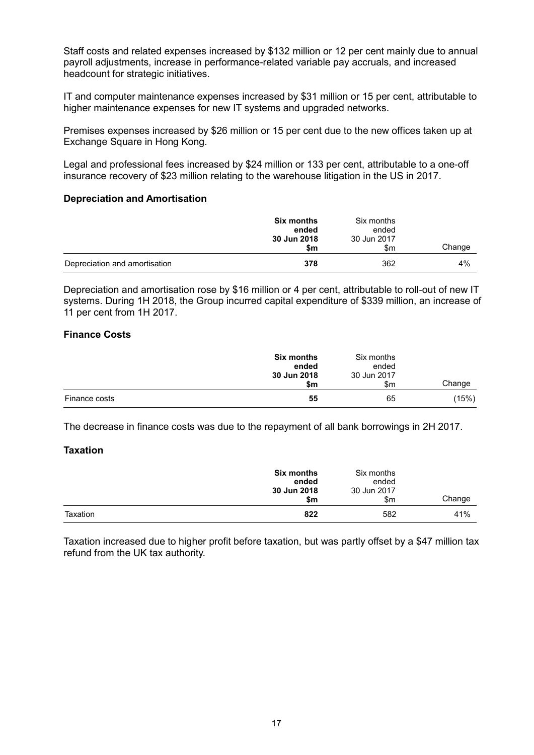Staff costs and related expenses increased by \$132 million or 12 per cent mainly due to annual payroll adjustments, increase in performance-related variable pay accruals, and increased headcount for strategic initiatives.

IT and computer maintenance expenses increased by \$31 million or 15 per cent, attributable to higher maintenance expenses for new IT systems and upgraded networks.

Premises expenses increased by \$26 million or 15 per cent due to the new offices taken up at Exchange Square in Hong Kong.

Legal and professional fees increased by \$24 million or 133 per cent, attributable to a one-off insurance recovery of \$23 million relating to the warehouse litigation in the US in 2017.

#### **Depreciation and Amortisation**

|                               | <b>Six months</b><br>ended<br>30 Jun 2018<br>\$m | Six months<br>ended<br>30 Jun 2017<br>\$m | Change |
|-------------------------------|--------------------------------------------------|-------------------------------------------|--------|
| Depreciation and amortisation | 378                                              | 362                                       | 4%     |

Depreciation and amortisation rose by \$16 million or 4 per cent, attributable to roll-out of new IT systems. During 1H 2018, the Group incurred capital expenditure of \$339 million, an increase of 11 per cent from 1H 2017.

#### **Finance Costs**

|               | <b>Six months</b><br>ended<br>30 Jun 2018<br>\$m | Six months<br>ended<br>30 Jun 2017<br>\$m | Change |
|---------------|--------------------------------------------------|-------------------------------------------|--------|
| Finance costs | 55                                               | 65                                        | (15%)  |

The decrease in finance costs was due to the repayment of all bank borrowings in 2H 2017.

#### **Taxation**

|          | <b>Six months</b><br>ended<br>30 Jun 2018<br>\$m | Six months<br>ended<br>30 Jun 2017<br>\$m | Change |
|----------|--------------------------------------------------|-------------------------------------------|--------|
| Taxation | 822                                              | 582                                       | 41%    |

Taxation increased due to higher profit before taxation, but was partly offset by a \$47 million tax refund from the UK tax authority.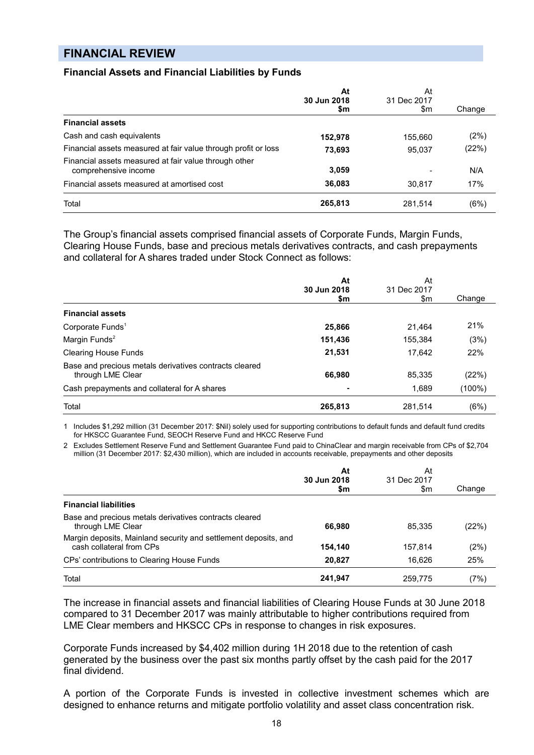### **FINANCIAL REVIEW**

#### **Financial Assets and Financial Liabilities by Funds**

|                                                                               | At<br>30 Jun 2018 | At<br>31 Dec 2017 |        |
|-------------------------------------------------------------------------------|-------------------|-------------------|--------|
|                                                                               | \$m               | \$m               | Change |
| <b>Financial assets</b>                                                       |                   |                   |        |
| Cash and cash equivalents                                                     | 152,978           | 155,660           | (2%)   |
| Financial assets measured at fair value through profit or loss                | 73,693            | 95,037            | (22%)  |
| Financial assets measured at fair value through other<br>comprehensive income | 3,059             |                   | N/A    |
| Financial assets measured at amortised cost                                   | 36,083            | 30.817            | 17%    |
| Total                                                                         | 265,813           | 281,514           | (6%)   |

The Group's financial assets comprised financial assets of Corporate Funds, Margin Funds, Clearing House Funds, base and precious metals derivatives contracts, and cash prepayments and collateral for A shares traded under Stock Connect as follows:

|                                                                             | At<br>30 Jun 2018 | At<br>31 Dec 2017 |        |
|-----------------------------------------------------------------------------|-------------------|-------------------|--------|
|                                                                             | \$m               | \$m               | Change |
| <b>Financial assets</b>                                                     |                   |                   |        |
| Corporate Funds <sup>1</sup>                                                | 25,866            | 21.464            | 21%    |
| Margin Funds <sup>2</sup>                                                   | 151,436           | 155.384           | (3%)   |
| <b>Clearing House Funds</b>                                                 | 21,531            | 17.642            | 22%    |
| Base and precious metals derivatives contracts cleared<br>through LME Clear | 66,980            | 85,335            | (22%)  |
| Cash prepayments and collateral for A shares                                |                   | 1,689             | (100%) |
| Total                                                                       | 265,813           | 281,514           | (6%)   |

1 Includes \$1,292 million (31 December 2017: \$Nil) solely used for supporting contributions to default funds and default fund credits for HKSCC Guarantee Fund, SEOCH Reserve Fund and HKCC Reserve Fund

2 Excludes Settlement Reserve Fund and Settlement Guarantee Fund paid to ChinaClear and margin receivable from CPs of \$2,704 million (31 December 2017: \$2,430 million), which are included in accounts receivable, prepayments and other deposits

|                                                                                             | At<br>30 Jun 2018<br>\$m | At<br>31 Dec 2017<br>\$m | Change |
|---------------------------------------------------------------------------------------------|--------------------------|--------------------------|--------|
| <b>Financial liabilities</b>                                                                |                          |                          |        |
| Base and precious metals derivatives contracts cleared<br>through LME Clear                 | 66,980                   | 85,335                   | (22%)  |
| Margin deposits, Mainland security and settlement deposits, and<br>cash collateral from CPs | 154,140                  | 157.814                  | (2%)   |
| CPs' contributions to Clearing House Funds                                                  | 20.827                   | 16.626                   | 25%    |
| Total                                                                                       | 241,947                  | 259,775                  | (7%)   |

The increase in financial assets and financial liabilities of Clearing House Funds at 30 June 2018 compared to 31 December 2017 was mainly attributable to higher contributions required from LME Clear members and HKSCC CPs in response to changes in risk exposures.

Corporate Funds increased by \$4,402 million during 1H 2018 due to the retention of cash generated by the business over the past six months partly offset by the cash paid for the 2017 final dividend.

A portion of the Corporate Funds is invested in collective investment schemes which are designed to enhance returns and mitigate portfolio volatility and asset class concentration risk.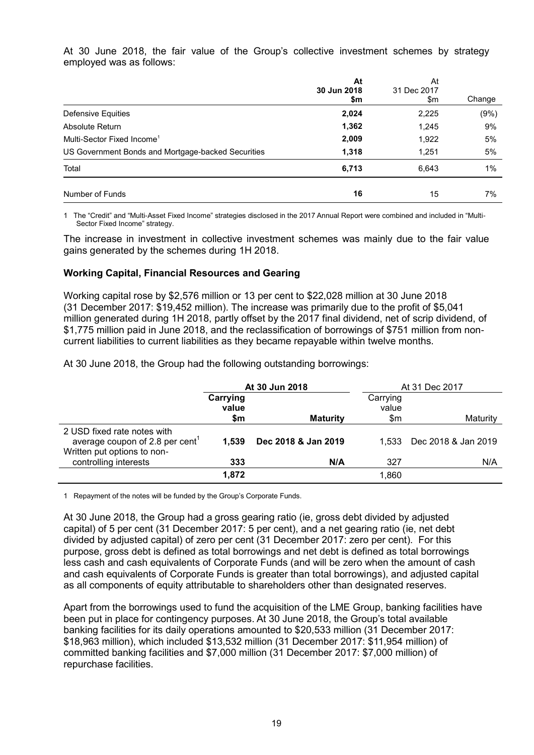At 30 June 2018, the fair value of the Group's collective investment schemes by strategy employed was as follows:

|                                                    | At<br>30 Jun 2018<br>\$m | At<br>31 Dec 2017<br>\$m | Change |
|----------------------------------------------------|--------------------------|--------------------------|--------|
| Defensive Equities                                 | 2,024                    | 2,225                    | (9%)   |
| Absolute Return                                    | 1,362                    | 1,245                    | 9%     |
| Multi-Sector Fixed Income <sup>1</sup>             | 2,009                    | 1,922                    | 5%     |
| US Government Bonds and Mortgage-backed Securities | 1,318                    | 1,251                    | 5%     |
| Total                                              | 6,713                    | 6,643                    | 1%     |
| Number of Funds                                    | 16                       | 15                       | 7%     |

1 The "Credit" and "Multi-Asset Fixed Income" strategies disclosed in the 2017 Annual Report were combined and included in "Multi-Sector Fixed Income" strategy.

The increase in investment in collective investment schemes was mainly due to the fair value gains generated by the schemes during 1H 2018.

#### **Working Capital, Financial Resources and Gearing**

Working capital rose by \$2,576 million or 13 per cent to \$22,028 million at 30 June 2018 (31 December 2017: \$19,452 million). The increase was primarily due to the profit of \$5,041 million generated during 1H 2018, partly offset by the 2017 final dividend, net of scrip dividend, of \$1,775 million paid in June 2018, and the reclassification of borrowings of \$751 million from noncurrent liabilities to current liabilities as they became repayable within twelve months.

At 30 June 2018, the Group had the following outstanding borrowings:

|                                                                                                           | At 30 Jun 2018           |                     | At 31 Dec 2017           |                     |  |
|-----------------------------------------------------------------------------------------------------------|--------------------------|---------------------|--------------------------|---------------------|--|
|                                                                                                           | Carrying<br>value<br>\$m | <b>Maturity</b>     | Carrying<br>value<br>\$m | Maturity            |  |
| 2 USD fixed rate notes with<br>average coupon of 2.8 per cent <sup>1</sup><br>Written put options to non- | 1.539                    | Dec 2018 & Jan 2019 | 1.533                    | Dec 2018 & Jan 2019 |  |
| controlling interests                                                                                     | 333                      | N/A                 | 327                      | N/A                 |  |
|                                                                                                           | 1.872                    |                     | 1,860                    |                     |  |

1 Repayment of the notes will be funded by the Group's Corporate Funds.

At 30 June 2018, the Group had a gross gearing ratio (ie, gross debt divided by adjusted capital) of 5 per cent (31 December 2017: 5 per cent), and a net gearing ratio (ie, net debt divided by adjusted capital) of zero per cent (31 December 2017: zero per cent). For this purpose, gross debt is defined as total borrowings and net debt is defined as total borrowings less cash and cash equivalents of Corporate Funds (and will be zero when the amount of cash and cash equivalents of Corporate Funds is greater than total borrowings), and adjusted capital as all components of equity attributable to shareholders other than designated reserves.

Apart from the borrowings used to fund the acquisition of the LME Group, banking facilities have been put in place for contingency purposes. At 30 June 2018, the Group's total available banking facilities for its daily operations amounted to \$20,533 million (31 December 2017: \$18,963 million), which included \$13,532 million (31 December 2017: \$11,954 million) of committed banking facilities and \$7,000 million (31 December 2017: \$7,000 million) of repurchase facilities.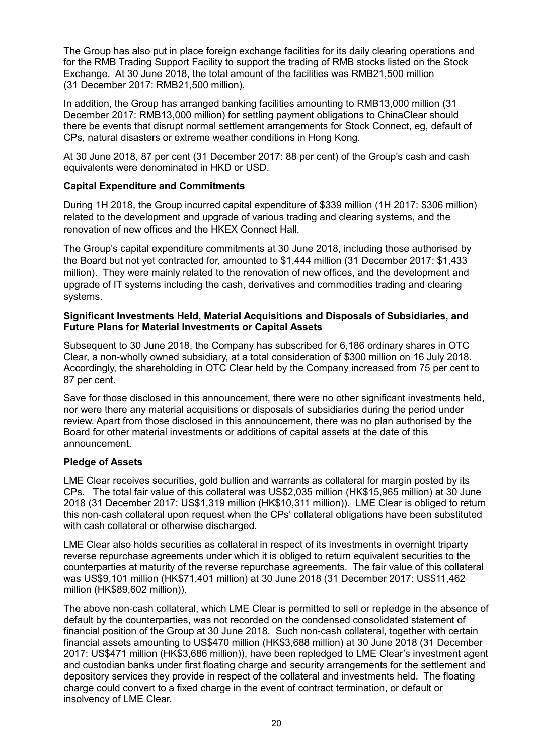The Group has also put in place foreign exchange facilities for its daily clearing operations and for the RMB Trading Support Facility to support the trading of RMB stocks listed on the Stock Exchange. At 30 June 2018, the total amount of the facilities was RMB21,500 million (31 December 2017: RMB21,500 million).

In addition, the Group has arranged banking facilities amounting to RMB13,000 million (31 December 2017: RMB13,000 million) for settling payment obligations to ChinaClear should there be events that disrupt normal settlement arrangements for Stock Connect, eg, default of CPs, natural disasters or extreme weather conditions in Hong Kong.

At 30 June 2018, 87 per cent (31 December 2017: 88 per cent) of the Group's cash and cash equivalents were denominated in HKD or USD.

#### **Capital Expenditure and Commitments**

During 1H 2018, the Group incurred capital expenditure of \$339 million (1H 2017: \$306 million) related to the development and upgrade of various trading and clearing systems, and the renovation of new offices and the HKEX Connect Hall.

The Group's capital expenditure commitments at 30 June 2018, including those authorised by the Board but not yet contracted for, amounted to \$1,444 million (31 December 2017: \$1,433 million). They were mainly related to the renovation of new offices, and the development and upgrade of IT systems including the cash, derivatives and commodities trading and clearing systems.

#### **Significant Investments Held, Material Acquisitions and Disposals of Subsidiaries, and Future Plans for Material Investments or Capital Assets**

Subsequent to 30 June 2018, the Company has subscribed for 6,186 ordinary shares in OTC Clear, a non-wholly owned subsidiary, at a total consideration of \$300 million on 16 July 2018. Accordingly, the shareholding in OTC Clear held by the Company increased from 75 per cent to 87 per cent.

Save for those disclosed in this announcement, there were no other significant investments held, nor were there any material acquisitions or disposals of subsidiaries during the period under review. Apart from those disclosed in this announcement, there was no plan authorised by the Board for other material investments or additions of capital assets at the date of this announcement.

#### **Pledge of Assets**

LME Clear receives securities, gold bullion and warrants as collateral for margin posted by its CPs. The total fair value of this collateral was US\$2,035 million (HK\$15,965 million) at 30 June 2018 (31 December 2017: US\$1,319 million (HK\$10,311 million)). LME Clear is obliged to return this non-cash collateral upon request when the CPs' collateral obligations have been substituted with cash collateral or otherwise discharged.

LME Clear also holds securities as collateral in respect of its investments in overnight triparty reverse repurchase agreements under which it is obliged to return equivalent securities to the counterparties at maturity of the reverse repurchase agreements. The fair value of this collateral was US\$9,101 million (HK\$71,401 million) at 30 June 2018 (31 December 2017: US\$11,462 million (HK\$89,602 million)).

The above non-cash collateral, which LME Clear is permitted to sell or repledge in the absence of default by the counterparties, was not recorded on the condensed consolidated statement of financial position of the Group at 30 June 2018. Such non-cash collateral, together with certain financial assets amounting to US\$470 million (HK\$3,688 million) at 30 June 2018 (31 December 2017: US\$471 million (HK\$3,686 million)), have been repledged to LME Clear's investment agent and custodian banks under first floating charge and security arrangements for the settlement and depository services they provide in respect of the collateral and investments held. The floating charge could convert to a fixed charge in the event of contract termination, or default or insolvency of LME Clear.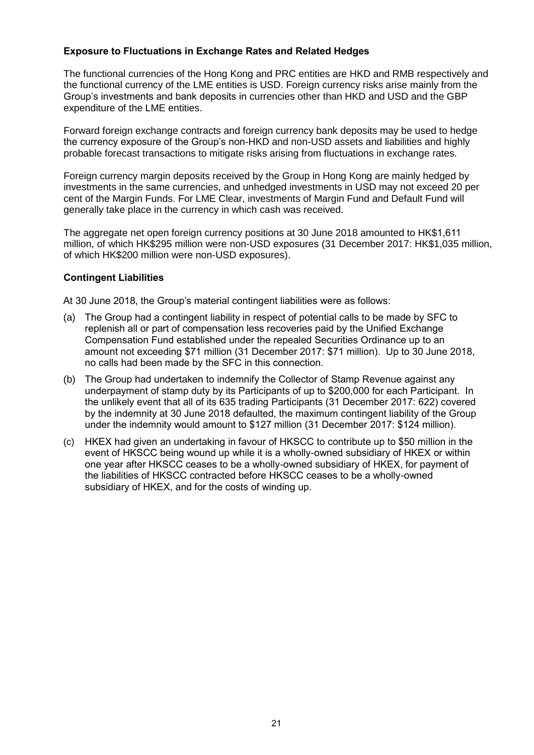#### **Exposure to Fluctuations in Exchange Rates and Related Hedges**

The functional currencies of the Hong Kong and PRC entities are HKD and RMB respectively and the functional currency of the LME entities is USD. Foreign currency risks arise mainly from the Group's investments and bank deposits in currencies other than HKD and USD and the GBP expenditure of the LME entities.

Forward foreign exchange contracts and foreign currency bank deposits may be used to hedge the currency exposure of the Group's non-HKD and non-USD assets and liabilities and highly probable forecast transactions to mitigate risks arising from fluctuations in exchange rates.

Foreign currency margin deposits received by the Group in Hong Kong are mainly hedged by investments in the same currencies, and unhedged investments in USD may not exceed 20 per cent of the Margin Funds. For LME Clear, investments of Margin Fund and Default Fund will generally take place in the currency in which cash was received.

The aggregate net open foreign currency positions at 30 June 2018 amounted to HK\$1,611 million, of which HK\$295 million were non-USD exposures (31 December 2017: HK\$1,035 million, of which HK\$200 million were non-USD exposures).

#### **Contingent Liabilities**

At 30 June 2018, the Group's material contingent liabilities were as follows:

- (a) The Group had a contingent liability in respect of potential calls to be made by SFC to replenish all or part of compensation less recoveries paid by the Unified Exchange Compensation Fund established under the repealed Securities Ordinance up to an amount not exceeding \$71 million (31 December 2017: \$71 million). Up to 30 June 2018, no calls had been made by the SFC in this connection.
- (b) The Group had undertaken to indemnify the Collector of Stamp Revenue against any underpayment of stamp duty by its Participants of up to \$200,000 for each Participant. In the unlikely event that all of its 635 trading Participants (31 December 2017: 622) covered by the indemnity at 30 June 2018 defaulted, the maximum contingent liability of the Group under the indemnity would amount to \$127 million (31 December 2017: \$124 million).
- (c) HKEX had given an undertaking in favour of HKSCC to contribute up to \$50 million in the event of HKSCC being wound up while it is a wholly-owned subsidiary of HKEX or within one year after HKSCC ceases to be a wholly-owned subsidiary of HKEX, for payment of the liabilities of HKSCC contracted before HKSCC ceases to be a wholly-owned subsidiary of HKEX, and for the costs of winding up.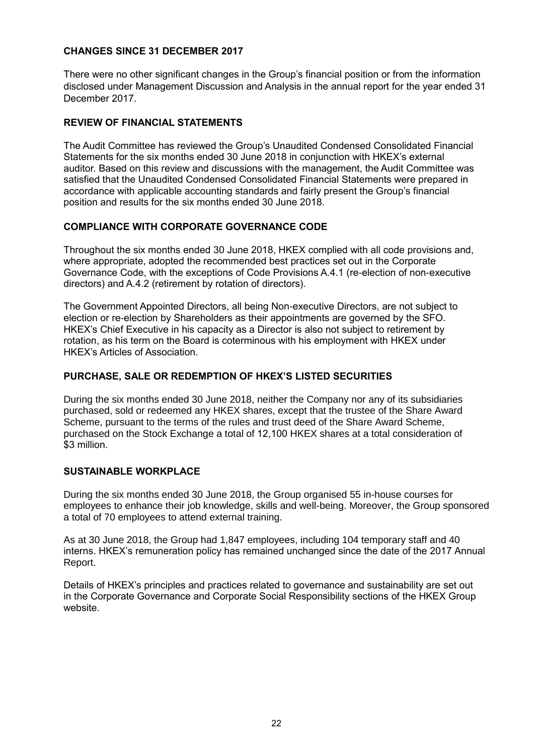#### **CHANGES SINCE 31 DECEMBER 2017**

There were no other significant changes in the Group's financial position or from the information disclosed under Management Discussion and Analysis in the annual report for the year ended 31 December 2017.

#### **REVIEW OF FINANCIAL STATEMENTS**

The Audit Committee has reviewed the Group's Unaudited Condensed Consolidated Financial Statements for the six months ended 30 June 2018 in conjunction with HKEX's external auditor. Based on this review and discussions with the management, the Audit Committee was satisfied that the Unaudited Condensed Consolidated Financial Statements were prepared in accordance with applicable accounting standards and fairly present the Group's financial position and results for the six months ended 30 June 2018.

#### **COMPLIANCE WITH CORPORATE GOVERNANCE CODE**

Throughout the six months ended 30 June 2018, HKEX complied with all code provisions and, where appropriate, adopted the recommended best practices set out in the Corporate Governance Code, with the exceptions of Code Provisions A.4.1 (re-election of non-executive directors) and A.4.2 (retirement by rotation of directors).

The Government Appointed Directors, all being Non-executive Directors, are not subject to election or re-election by Shareholders as their appointments are governed by the SFO. HKEX's Chief Executive in his capacity as a Director is also not subject to retirement by rotation, as his term on the Board is coterminous with his employment with HKEX under HKEX's Articles of Association.

#### **PURCHASE, SALE OR REDEMPTION OF HKEX'S LISTED SECURITIES**

During the six months ended 30 June 2018, neither the Company nor any of its subsidiaries purchased, sold or redeemed any HKEX shares, except that the trustee of the Share Award Scheme, pursuant to the terms of the rules and trust deed of the Share Award Scheme, purchased on the Stock Exchange a total of 12,100 HKEX shares at a total consideration of \$3 million.

#### **SUSTAINABLE WORKPLACE**

During the six months ended 30 June 2018, the Group organised 55 in-house courses for employees to enhance their job knowledge, skills and well-being. Moreover, the Group sponsored a total of 70 employees to attend external training.

As at 30 June 2018, the Group had 1,847 employees, including 104 temporary staff and 40 interns. HKEX's remuneration policy has remained unchanged since the date of the 2017 Annual Report.

Details of HKEX's principles and practices related to governance and sustainability are set out in the Corporate Governance and Corporate Social Responsibility sections of the HKEX Group website.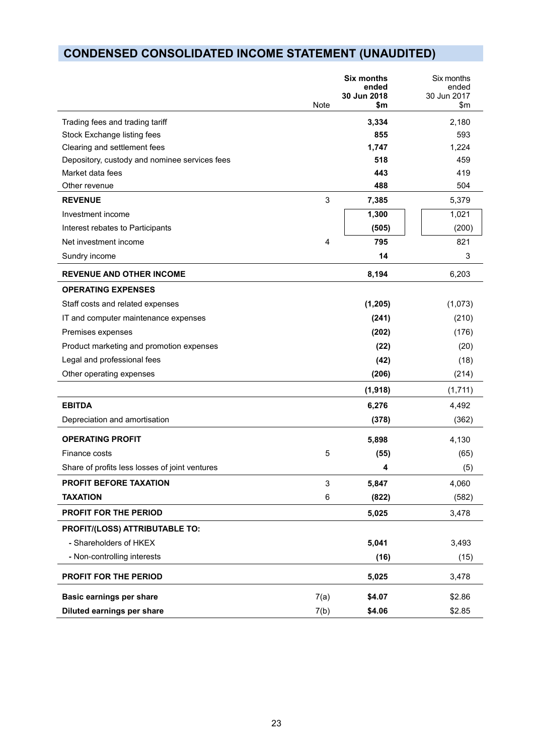# **CONDENSED CONSOLIDATED INCOME STATEMENT (UNAUDITED)**

|                                                |      | Six months<br>ended<br>30 Jun 2018 | Six months<br>ended<br>30 Jun 2017 |
|------------------------------------------------|------|------------------------------------|------------------------------------|
|                                                | Note | \$m                                | \$m\$                              |
| Trading fees and trading tariff                |      | 3,334                              | 2,180                              |
| Stock Exchange listing fees                    |      | 855                                | 593                                |
| Clearing and settlement fees                   |      | 1,747                              | 1,224                              |
| Depository, custody and nominee services fees  |      | 518                                | 459                                |
| Market data fees                               |      | 443                                | 419                                |
| Other revenue                                  |      | 488                                | 504                                |
| <b>REVENUE</b>                                 | 3    | 7,385                              | 5,379                              |
| Investment income                              |      | 1,300                              | 1,021                              |
| Interest rebates to Participants               |      | (505)                              | (200)                              |
| Net investment income                          | 4    | 795                                | 821                                |
| Sundry income                                  |      | 14                                 | 3                                  |
| <b>REVENUE AND OTHER INCOME</b>                |      | 8,194                              | 6,203                              |
| <b>OPERATING EXPENSES</b>                      |      |                                    |                                    |
| Staff costs and related expenses               |      | (1, 205)                           | (1,073)                            |
| IT and computer maintenance expenses           |      | (241)                              | (210)                              |
| Premises expenses                              |      | (202)                              | (176)                              |
| Product marketing and promotion expenses       |      | (22)                               | (20)                               |
| Legal and professional fees                    |      | (42)                               | (18)                               |
| Other operating expenses                       |      | (206)                              | (214)                              |
|                                                |      | (1, 918)                           | (1,711)                            |
| <b>EBITDA</b>                                  |      | 6,276                              | 4,492                              |
| Depreciation and amortisation                  |      | (378)                              | (362)                              |
| <b>OPERATING PROFIT</b>                        |      | 5,898                              | 4,130                              |
| Finance costs                                  | 5    | (55)                               | (65)                               |
| Share of profits less losses of joint ventures |      | 4                                  | (5)                                |
| PROFIT BEFORE TAXATION                         | 3    | 5,847                              | 4,060                              |
| <b>TAXATION</b>                                | 6    | (822)                              | (582)                              |
| PROFIT FOR THE PERIOD                          |      | 5,025                              | 3,478                              |
| PROFIT/(LOSS) ATTRIBUTABLE TO:                 |      |                                    |                                    |
| - Shareholders of HKEX                         |      | 5,041                              | 3,493                              |
| - Non-controlling interests                    |      | (16)                               | (15)                               |
| PROFIT FOR THE PERIOD                          |      | 5,025                              | 3,478                              |
| <b>Basic earnings per share</b>                | 7(a) | \$4.07                             | \$2.86                             |
| Diluted earnings per share                     | 7(b) | \$4.06                             | \$2.85                             |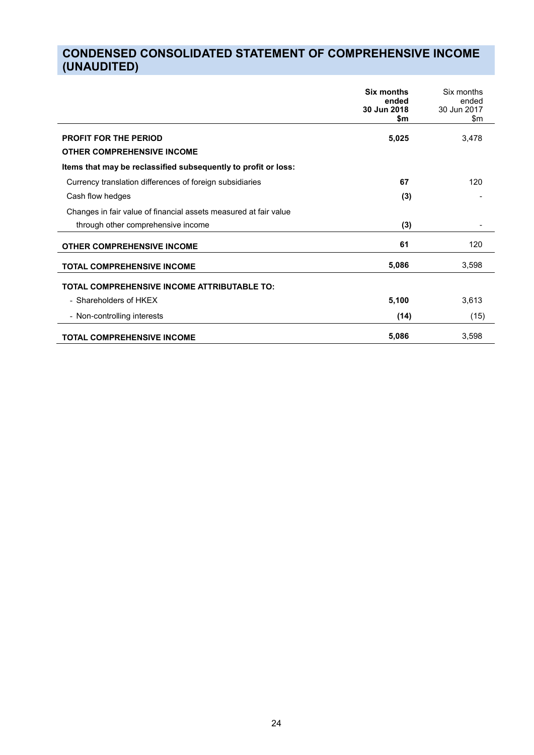# **CONDENSED CONSOLIDATED STATEMENT OF COMPREHENSIVE INCOME (UNAUDITED)**

|                                                                  | Six months<br>ended<br>30 Jun 2018<br>\$m | Six months<br>ended<br>30 Jun 2017<br>\$m |
|------------------------------------------------------------------|-------------------------------------------|-------------------------------------------|
| <b>PROFIT FOR THE PERIOD</b>                                     | 5,025                                     | 3,478                                     |
| <b>OTHER COMPREHENSIVE INCOME</b>                                |                                           |                                           |
| Items that may be reclassified subsequently to profit or loss:   |                                           |                                           |
| Currency translation differences of foreign subsidiaries         | 67                                        | 120                                       |
| Cash flow hedges                                                 | (3)                                       |                                           |
| Changes in fair value of financial assets measured at fair value |                                           |                                           |
| through other comprehensive income                               | (3)                                       |                                           |
| <b>OTHER COMPREHENSIVE INCOME</b>                                | 61                                        | 120                                       |
| <b>TOTAL COMPREHENSIVE INCOME</b>                                | 5,086                                     | 3,598                                     |
| TOTAL COMPREHENSIVE INCOME ATTRIBUTABLE TO:                      |                                           |                                           |
| - Shareholders of HKEX                                           | 5,100                                     | 3,613                                     |
| - Non-controlling interests                                      | (14)                                      | (15)                                      |
| <b>TOTAL COMPREHENSIVE INCOME</b>                                | 5,086                                     | 3,598                                     |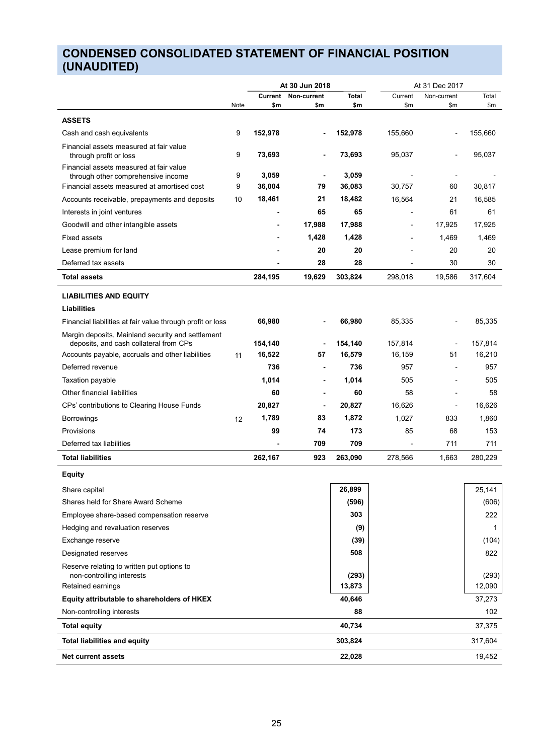# **CONDENSED CONSOLIDATED STATEMENT OF FINANCIAL POSITION (UNAUDITED)**

|                                                                                             |      |         | At 30 Jun 2018 |              |         | At 31 Dec 2017 |              |  |
|---------------------------------------------------------------------------------------------|------|---------|----------------|--------------|---------|----------------|--------------|--|
|                                                                                             |      | Current | Non-current    | <b>Total</b> | Current | Non-current    | Total        |  |
|                                                                                             | Note | \$m     | \$m            | \$m          | \$m     | \$m            | \$m          |  |
| <b>ASSETS</b>                                                                               |      |         |                |              |         |                |              |  |
| Cash and cash equivalents                                                                   | 9    | 152,978 |                | 152,978      | 155,660 | $\overline{a}$ | 155,660      |  |
| Financial assets measured at fair value<br>through profit or loss                           | 9    | 73,693  | $\blacksquare$ | 73,693       | 95,037  |                | 95,037       |  |
| Financial assets measured at fair value                                                     | 9    | 3,059   |                | 3,059        |         |                |              |  |
| through other comprehensive income<br>Financial assets measured at amortised cost           | 9    | 36,004  | 79             | 36,083       | 30,757  | 60             | 30,817       |  |
| Accounts receivable, prepayments and deposits                                               | 10   | 18,461  | 21             | 18,482       | 16,564  | 21             | 16,585       |  |
| Interests in joint ventures                                                                 |      |         | 65             | 65           |         | 61             | 61           |  |
| Goodwill and other intangible assets                                                        |      |         | 17,988         | 17,988       |         | 17,925         | 17,925       |  |
| <b>Fixed assets</b>                                                                         |      |         | 1,428          | 1,428        |         | 1,469          | 1,469        |  |
| Lease premium for land                                                                      |      |         | 20             | 20           |         | 20             | 20           |  |
| Deferred tax assets                                                                         |      | ٠       | 28             | 28           |         | 30             | 30           |  |
| Total assets                                                                                |      | 284,195 | 19,629         | 303,824      | 298,018 | 19,586         | 317,604      |  |
|                                                                                             |      |         |                |              |         |                |              |  |
| <b>LIABILITIES AND EQUITY</b>                                                               |      |         |                |              |         |                |              |  |
| <b>Liabilities</b>                                                                          |      |         |                |              |         |                |              |  |
| Financial liabilities at fair value through profit or loss                                  |      | 66,980  |                | 66,980       | 85,335  |                | 85,335       |  |
| Margin deposits, Mainland security and settlement<br>deposits, and cash collateral from CPs |      | 154,140 |                | 154,140      | 157,814 |                | 157,814      |  |
| Accounts payable, accruals and other liabilities                                            | 11   | 16,522  | 57             | 16,579       | 16,159  | 51             | 16,210       |  |
| Deferred revenue                                                                            |      | 736     |                | 736          | 957     | $\blacksquare$ | 957          |  |
| Taxation payable                                                                            |      | 1,014   |                | 1,014        | 505     | $\overline{a}$ | 505          |  |
| Other financial liabilities                                                                 |      | 60      | $\blacksquare$ | 60           | 58      | $\blacksquare$ | 58           |  |
| CPs' contributions to Clearing House Funds                                                  |      | 20,827  | $\blacksquare$ | 20,827       | 16,626  | $\blacksquare$ | 16,626       |  |
| <b>Borrowings</b>                                                                           | 12   | 1,789   | 83             | 1,872        | 1,027   | 833            | 1,860        |  |
| Provisions                                                                                  |      | 99      | 74             | 173          | 85      | 68             | 153          |  |
| Deferred tax liabilities                                                                    |      |         | 709            | 709          |         | 711            | 711          |  |
| <b>Total liabilities</b>                                                                    |      | 262,167 | 923            | 263,090      | 278,566 | 1,663          | 280,229      |  |
| <b>Equity</b>                                                                               |      |         |                |              |         |                |              |  |
| Share capital                                                                               |      |         |                | 26,899       |         |                | 25,141       |  |
| Shares held for Share Award Scheme                                                          |      |         |                | (596)        |         |                | (606)        |  |
| Employee share-based compensation reserve                                                   |      |         |                | 303          |         |                | 222          |  |
| Hedging and revaluation reserves                                                            |      |         |                | (9)          |         |                | $\mathbf{1}$ |  |
| Exchange reserve                                                                            |      |         |                | (39)         |         |                | (104)        |  |
| Designated reserves                                                                         |      |         |                | 508          |         |                | 822          |  |
| Reserve relating to written put options to<br>non-controlling interests                     |      |         |                | (293)        |         |                | (293)        |  |
| Retained earnings                                                                           |      |         |                | 13,873       |         |                | 12,090       |  |
| Equity attributable to shareholders of HKEX                                                 |      |         |                | 40,646       |         |                | 37,273       |  |
| Non-controlling interests                                                                   |      |         |                | 88           |         |                | 102          |  |
| <b>Total equity</b>                                                                         |      |         |                | 40,734       |         |                | 37,375       |  |
| <b>Total liabilities and equity</b>                                                         |      |         |                | 303,824      |         |                | 317,604      |  |
| <b>Net current assets</b>                                                                   |      |         |                | 22,028       |         |                | 19,452       |  |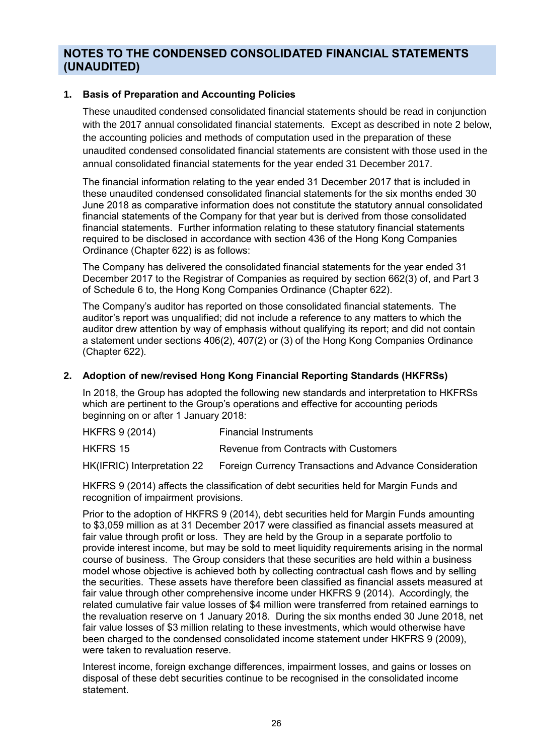### **NOTES TO THE CONDENSED CONSOLIDATED FINANCIAL STATEMENTS (UNAUDITED)**

#### **1. Basis of Preparation and Accounting Policies**

These unaudited condensed consolidated financial statements should be read in conjunction with the 2017 annual consolidated financial statements. Except as described in note 2 below, the accounting policies and methods of computation used in the preparation of these unaudited condensed consolidated financial statements are consistent with those used in the annual consolidated financial statements for the year ended 31 December 2017.

The financial information relating to the year ended 31 December 2017 that is included in these unaudited condensed consolidated financial statements for the six months ended 30 June 2018 as comparative information does not constitute the statutory annual consolidated financial statements of the Company for that year but is derived from those consolidated financial statements. Further information relating to these statutory financial statements required to be disclosed in accordance with section 436 of the Hong Kong Companies Ordinance (Chapter 622) is as follows:

The Company has delivered the consolidated financial statements for the year ended 31 December 2017 to the Registrar of Companies as required by section 662(3) of, and Part 3 of Schedule 6 to, the Hong Kong Companies Ordinance (Chapter 622).

The Company's auditor has reported on those consolidated financial statements. The auditor's report was unqualified; did not include a reference to any matters to which the auditor drew attention by way of emphasis without qualifying its report; and did not contain a statement under sections 406(2), 407(2) or (3) of the Hong Kong Companies Ordinance (Chapter 622).

#### **2. Adoption of new/revised Hong Kong Financial Reporting Standards (HKFRSs)**

In 2018, the Group has adopted the following new standards and interpretation to HKFRSs which are pertinent to the Group's operations and effective for accounting periods beginning on or after 1 January 2018:

| HKFRS 9 (2014) | <b>Financial Instruments</b> |
|----------------|------------------------------|
|----------------|------------------------------|

HKFRS 15 Revenue from Contracts with Customers

HK(IFRIC) Interpretation 22 Foreign Currency Transactions and Advance Consideration

HKFRS 9 (2014) affects the classification of debt securities held for Margin Funds and recognition of impairment provisions.

Prior to the adoption of HKFRS 9 (2014), debt securities held for Margin Funds amounting to \$3,059 million as at 31 December 2017 were classified as financial assets measured at fair value through profit or loss. They are held by the Group in a separate portfolio to provide interest income, but may be sold to meet liquidity requirements arising in the normal course of business. The Group considers that these securities are held within a business model whose objective is achieved both by collecting contractual cash flows and by selling the securities. These assets have therefore been classified as financial assets measured at fair value through other comprehensive income under HKFRS 9 (2014). Accordingly, the related cumulative fair value losses of \$4 million were transferred from retained earnings to the revaluation reserve on 1 January 2018. During the six months ended 30 June 2018, net fair value losses of \$3 million relating to these investments, which would otherwise have been charged to the condensed consolidated income statement under HKFRS 9 (2009), were taken to revaluation reserve.

Interest income, foreign exchange differences, impairment losses, and gains or losses on disposal of these debt securities continue to be recognised in the consolidated income statement.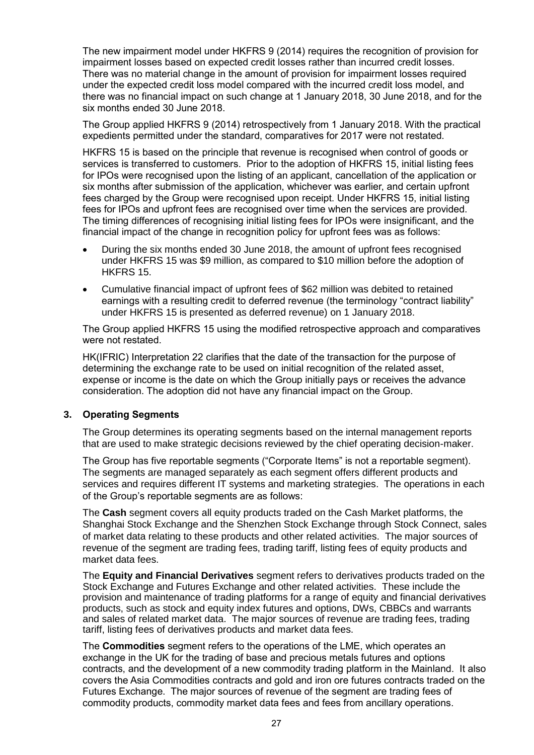The new impairment model under HKFRS 9 (2014) requires the recognition of provision for impairment losses based on expected credit losses rather than incurred credit losses. There was no material change in the amount of provision for impairment losses required under the expected credit loss model compared with the incurred credit loss model, and there was no financial impact on such change at 1 January 2018, 30 June 2018, and for the six months ended 30 June 2018.

The Group applied HKFRS 9 (2014) retrospectively from 1 January 2018. With the practical expedients permitted under the standard, comparatives for 2017 were not restated.

HKFRS 15 is based on the principle that revenue is recognised when control of goods or services is transferred to customers. Prior to the adoption of HKFRS 15, initial listing fees for IPOs were recognised upon the listing of an applicant, cancellation of the application or six months after submission of the application, whichever was earlier, and certain upfront fees charged by the Group were recognised upon receipt. Under HKFRS 15, initial listing fees for IPOs and upfront fees are recognised over time when the services are provided. The timing differences of recognising initial listing fees for IPOs were insignificant, and the financial impact of the change in recognition policy for upfront fees was as follows:

- During the six months ended 30 June 2018, the amount of upfront fees recognised under HKFRS 15 was \$9 million, as compared to \$10 million before the adoption of HKFRS 15.
- Cumulative financial impact of upfront fees of \$62 million was debited to retained earnings with a resulting credit to deferred revenue (the terminology "contract liability" under HKFRS 15 is presented as deferred revenue) on 1 January 2018.

The Group applied HKFRS 15 using the modified retrospective approach and comparatives were not restated.

HK(IFRIC) Interpretation 22 clarifies that the date of the transaction for the purpose of determining the exchange rate to be used on initial recognition of the related asset, expense or income is the date on which the Group initially pays or receives the advance consideration. The adoption did not have any financial impact on the Group.

#### **3. Operating Segments**

The Group determines its operating segments based on the internal management reports that are used to make strategic decisions reviewed by the chief operating decision-maker.

The Group has five reportable segments ("Corporate Items" is not a reportable segment). The segments are managed separately as each segment offers different products and services and requires different IT systems and marketing strategies. The operations in each of the Group's reportable segments are as follows:

The **Cash** segment covers all equity products traded on the Cash Market platforms, the Shanghai Stock Exchange and the Shenzhen Stock Exchange through Stock Connect, sales of market data relating to these products and other related activities. The major sources of revenue of the segment are trading fees, trading tariff, listing fees of equity products and market data fees.

The **Equity and Financial Derivatives** segment refers to derivatives products traded on the Stock Exchange and Futures Exchange and other related activities. These include the provision and maintenance of trading platforms for a range of equity and financial derivatives products, such as stock and equity index futures and options, DWs, CBBCs and warrants and sales of related market data. The major sources of revenue are trading fees, trading tariff, listing fees of derivatives products and market data fees.

The **Commodities** segment refers to the operations of the LME, which operates an exchange in the UK for the trading of base and precious metals futures and options contracts, and the development of a new commodity trading platform in the Mainland. It also covers the Asia Commodities contracts and gold and iron ore futures contracts traded on the Futures Exchange. The major sources of revenue of the segment are trading fees of commodity products, commodity market data fees and fees from ancillary operations.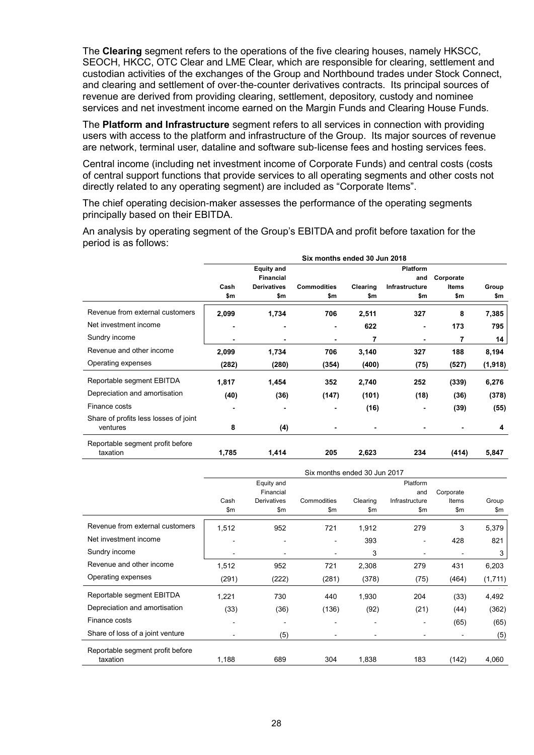The **Clearing** segment refers to the operations of the five clearing houses, namely HKSCC, SEOCH, HKCC, OTC Clear and LME Clear, which are responsible for clearing, settlement and custodian activities of the exchanges of the Group and Northbound trades under Stock Connect, and clearing and settlement of over-the-counter derivatives contracts. Its principal sources of revenue are derived from providing clearing, settlement, depository, custody and nominee services and net investment income earned on the Margin Funds and Clearing House Funds.

The **Platform and Infrastructure** segment refers to all services in connection with providing users with access to the platform and infrastructure of the Group. Its major sources of revenue are network, terminal user, dataline and software sub-license fees and hosting services fees.

Central income (including net investment income of Corporate Funds) and central costs (costs of central support functions that provide services to all operating segments and other costs not directly related to any operating segment) are included as "Corporate Items".

The chief operating decision-maker assesses the performance of the operating segments principally based on their EBITDA.

An analysis by operating segment of the Group's EBITDA and profit before taxation for the period is as follows:

|                                                   | Six months ended 30 Jun 2018 |                    |                    |          |                 |              |          |  |
|---------------------------------------------------|------------------------------|--------------------|--------------------|----------|-----------------|--------------|----------|--|
|                                                   |                              | <b>Equity and</b>  |                    |          | <b>Platform</b> |              |          |  |
|                                                   |                              | <b>Financial</b>   |                    |          | and             | Corporate    |          |  |
|                                                   | Cash                         | <b>Derivatives</b> | <b>Commodities</b> | Clearing | Infrastructure  | <b>Items</b> | Group    |  |
|                                                   | \$m                          | \$m                | \$m                | \$m      | \$m             | \$m          | \$m      |  |
| Revenue from external customers                   | 2,099                        | 1,734              | 706                | 2,511    | 327             | 8            | 7,385    |  |
| Net investment income                             | ٠                            |                    | ٠                  | 622      | $\blacksquare$  | 173          | 795      |  |
| Sundry income                                     |                              |                    | $\blacksquare$     | 7        | $\blacksquare$  | 7            | 14       |  |
| Revenue and other income                          | 2,099                        | 1,734              | 706                | 3,140    | 327             | 188          | 8,194    |  |
| Operating expenses                                | (282)                        | (280)              | (354)              | (400)    | (75)            | (527)        | (1, 918) |  |
| Reportable segment EBITDA                         | 1,817                        | 1,454              | 352                | 2,740    | 252             | (339)        | 6,276    |  |
| Depreciation and amortisation                     | (40)                         | (36)               | (147)              | (101)    | (18)            | (36)         | (378)    |  |
| Finance costs                                     |                              |                    |                    | (16)     | ٠               | (39)         | (55)     |  |
| Share of profits less losses of joint<br>ventures | 8                            | (4)                |                    |          |                 |              | 4        |  |
| Reportable segment profit before<br>taxation      | 1,785                        | 1,414              | 205                | 2,623    | 234             | (414)        | 5,847    |  |

|                                  | Six months ended 30 Jun 2017 |                    |                          |                          |                          |           |         |  |
|----------------------------------|------------------------------|--------------------|--------------------------|--------------------------|--------------------------|-----------|---------|--|
|                                  |                              | Equity and         |                          |                          | Platform                 |           |         |  |
|                                  |                              | Financial          |                          |                          | and                      | Corporate |         |  |
|                                  | Cash                         | <b>Derivatives</b> | Commodities              | Clearing                 | Infrastructure           | Items     | Group   |  |
|                                  | \$m                          | \$m                | \$m\$                    | \$m\$                    | $\mathsf{Sm}$            | \$m\$     | \$m     |  |
| Revenue from external customers  | 1,512                        | 952                | 721                      | 1,912                    | 279                      | 3         | 5,379   |  |
| Net investment income            | -                            |                    | $\overline{a}$           | 393                      |                          | 428       | 821     |  |
| Sundry income                    | ۰                            | $\blacksquare$     | ٠                        | 3                        |                          |           | 3       |  |
| Revenue and other income         | 1,512                        | 952                | 721                      | 2,308                    | 279                      | 431       | 6,203   |  |
| Operating expenses               | (291)                        | (222)              | (281)                    | (378)                    | (75)                     | (464)     | (1,711) |  |
| Reportable segment EBITDA        | 1,221                        | 730                | 440                      | 1,930                    | 204                      | (33)      | 4,492   |  |
| Depreciation and amortisation    | (33)                         | (36)               | (136)                    | (92)                     | (21)                     | (44)      | (362)   |  |
| Finance costs                    | ٠                            | $\blacksquare$     | $\overline{\phantom{a}}$ | ٠                        | $\overline{\phantom{a}}$ | (65)      | (65)    |  |
| Share of loss of a joint venture | ٠                            | (5)                | $\blacksquare$           | $\overline{\phantom{0}}$ |                          |           | (5)     |  |
| Reportable segment profit before |                              |                    |                          |                          |                          |           |         |  |
| taxation                         | 1,188                        | 689                | 304                      | 1,838                    | 183                      | (142)     | 4,060   |  |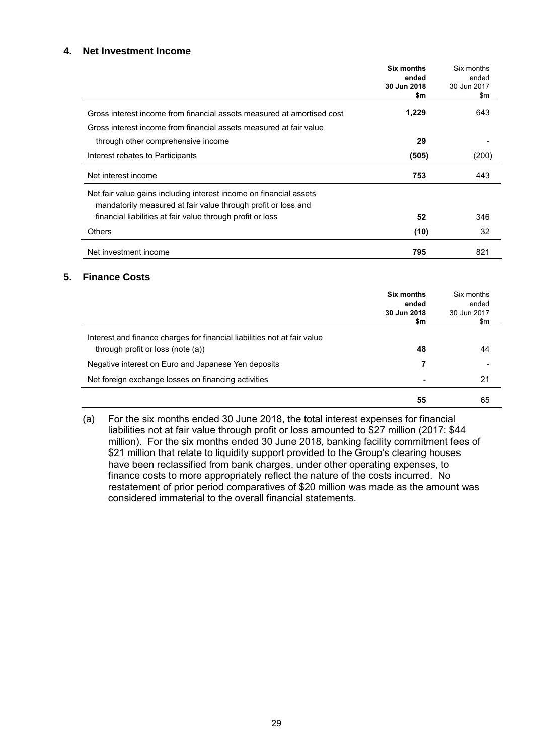#### **4. Net Investment Income**

|                                                                        | Six months<br>ended<br>30 Jun 2018<br>\$m | Six months<br>ended<br>30 Jun 2017<br>\$m |
|------------------------------------------------------------------------|-------------------------------------------|-------------------------------------------|
| Gross interest income from financial assets measured at amortised cost | 1,229                                     | 643                                       |
| Gross interest income from financial assets measured at fair value     |                                           |                                           |
| through other comprehensive income                                     | 29                                        |                                           |
| Interest rebates to Participants                                       | (505)                                     | (200)                                     |
| Net interest income                                                    | 753                                       | 443                                       |
| Net fair value gains including interest income on financial assets     |                                           |                                           |
| mandatorily measured at fair value through profit or loss and          |                                           |                                           |
| financial liabilities at fair value through profit or loss             | 52                                        | 346                                       |
| <b>Others</b>                                                          | (10)                                      | 32                                        |
| Net investment income                                                  | 795                                       | 821                                       |

#### **5. Finance Costs**

|                                                                                                               | Six months<br>ended<br>30 Jun 2018<br>\$m | Six months<br>ended<br>30 Jun 2017<br>\$m |
|---------------------------------------------------------------------------------------------------------------|-------------------------------------------|-------------------------------------------|
| Interest and finance charges for financial liabilities not at fair value<br>through profit or loss (note (a)) | 48                                        | 44                                        |
| Negative interest on Euro and Japanese Yen deposits                                                           |                                           |                                           |
| Net foreign exchange losses on financing activities                                                           |                                           | 21                                        |
|                                                                                                               | 55                                        | 65                                        |

(a) For the six months ended 30 June 2018, the total interest expenses for financial liabilities not at fair value through profit or loss amounted to \$27 million (2017: \$44 million). For the six months ended 30 June 2018, banking facility commitment fees of \$21 million that relate to liquidity support provided to the Group's clearing houses have been reclassified from bank charges, under other operating expenses, to finance costs to more appropriately reflect the nature of the costs incurred. No restatement of prior period comparatives of \$20 million was made as the amount was considered immaterial to the overall financial statements.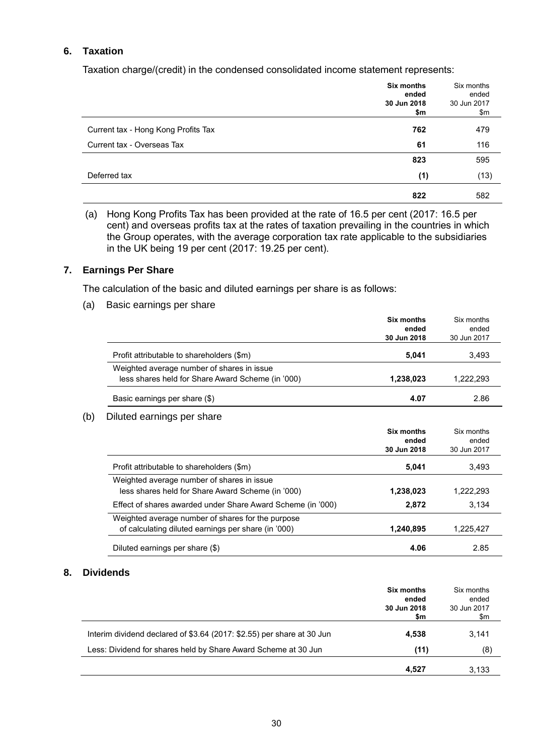#### **6. Taxation**

Taxation charge/(credit) in the condensed consolidated income statement represents:

|                                     | Six months<br>ended<br>30 Jun 2018<br>\$m | Six months<br>ended<br>30 Jun 2017<br>\$m |
|-------------------------------------|-------------------------------------------|-------------------------------------------|
| Current tax - Hong Kong Profits Tax | 762                                       | 479                                       |
| Current tax - Overseas Tax          | 61                                        | 116                                       |
|                                     | 823                                       | 595                                       |
| Deferred tax                        | (1)                                       | (13)                                      |
|                                     | 822                                       | 582                                       |

(a) Hong Kong Profits Tax has been provided at the rate of 16.5 per cent (2017: 16.5 per cent) and overseas profits tax at the rates of taxation prevailing in the countries in which the Group operates, with the average corporation tax rate applicable to the subsidiaries in the UK being 19 per cent (2017: 19.25 per cent).

#### **7. Earnings Per Share**

The calculation of the basic and diluted earnings per share is as follows:

(a) Basic earnings per share

|                                                             | Six months  | Six months           |
|-------------------------------------------------------------|-------------|----------------------|
|                                                             | ended       | ended                |
|                                                             | 30 Jun 2018 | 30 Jun 2017          |
| Profit attributable to shareholders (\$m)                   | 5,041       | 3,493                |
| Weighted average number of shares in issue                  |             |                      |
| less shares held for Share Award Scheme (in '000)           | 1,238,023   | 1,222,293            |
| Basic earnings per share (\$)                               | 4.07        | 2.86                 |
| Diluted earnings per share                                  |             |                      |
|                                                             | Six months  | Six months           |
|                                                             |             |                      |
|                                                             | ended       |                      |
|                                                             | 30 Jun 2018 | ended<br>30 Jun 2017 |
| Profit attributable to shareholders (\$m)                   | 5,041       | 3,493                |
| Weighted average number of shares in issue                  |             |                      |
| less shares held for Share Award Scheme (in '000)           | 1,238,023   | 1,222,293            |
| Effect of shares awarded under Share Award Scheme (in '000) | 2,872       | 3,134                |
| Weighted average number of shares for the purpose           |             |                      |
| of calculating diluted earnings per share (in '000)         | 1,240,895   | 1,225,427            |

#### **8. Dividends**

|                                                                        | <b>Six months</b><br>ended<br>30 Jun 2018<br>\$m | Six months<br>ended<br>30 Jun 2017<br>\$m |
|------------------------------------------------------------------------|--------------------------------------------------|-------------------------------------------|
| Interim dividend declared of \$3.64 (2017: \$2.55) per share at 30 Jun | 4,538                                            | 3.141                                     |
| Less: Dividend for shares held by Share Award Scheme at 30 Jun         | (11)                                             | (8)                                       |
|                                                                        | 4,527                                            | 3,133                                     |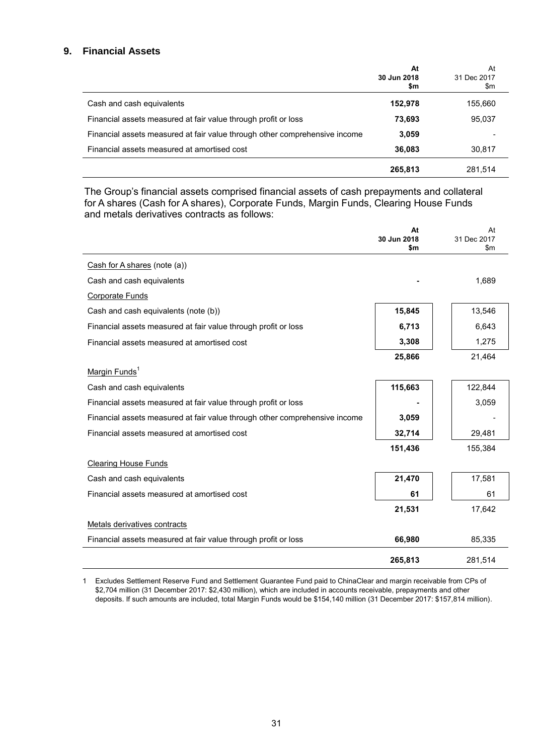#### **9. Financial Assets**

|                                                                            | At<br>30 Jun 2018<br>\$m | At<br>31 Dec 2017<br>\$m |
|----------------------------------------------------------------------------|--------------------------|--------------------------|
| Cash and cash equivalents                                                  | 152,978                  | 155,660                  |
| Financial assets measured at fair value through profit or loss             | 73.693                   | 95,037                   |
| Financial assets measured at fair value through other comprehensive income | 3,059                    |                          |
| Financial assets measured at amortised cost                                | 36.083                   | 30,817                   |
|                                                                            | 265,813                  | 281,514                  |

The Group's financial assets comprised financial assets of cash prepayments and collateral for A shares (Cash for A shares), Corporate Funds, Margin Funds, Clearing House Funds and metals derivatives contracts as follows:

|                                                                            | At<br>30 Jun 2018<br>\$m | At<br>31 Dec 2017<br>\$m |
|----------------------------------------------------------------------------|--------------------------|--------------------------|
| Cash for A shares (note (a))                                               |                          |                          |
| Cash and cash equivalents                                                  |                          | 1,689                    |
| <b>Corporate Funds</b>                                                     |                          |                          |
| Cash and cash equivalents (note (b))                                       | 15,845                   | 13,546                   |
| Financial assets measured at fair value through profit or loss             | 6,713                    | 6,643                    |
| Financial assets measured at amortised cost                                | 3,308                    | 1,275                    |
|                                                                            | 25,866                   | 21,464                   |
| Margin Funds <sup>1</sup>                                                  |                          |                          |
| Cash and cash equivalents                                                  | 115,663                  | 122,844                  |
| Financial assets measured at fair value through profit or loss             |                          | 3,059                    |
| Financial assets measured at fair value through other comprehensive income | 3,059                    |                          |
| Financial assets measured at amortised cost                                | 32,714                   | 29,481                   |
|                                                                            | 151,436                  | 155,384                  |
| <b>Clearing House Funds</b>                                                |                          |                          |
| Cash and cash equivalents                                                  | 21,470                   | 17,581                   |
| Financial assets measured at amortised cost                                | 61                       | 61                       |
|                                                                            | 21,531                   | 17,642                   |
| Metals derivatives contracts                                               |                          |                          |
| Financial assets measured at fair value through profit or loss             | 66,980                   | 85,335                   |
|                                                                            | 265,813                  | 281,514                  |

1 Excludes Settlement Reserve Fund and Settlement Guarantee Fund paid to ChinaClear and margin receivable from CPs of \$2,704 million (31 December 2017: \$2,430 million), which are included in accounts receivable, prepayments and other deposits. If such amounts are included, total Margin Funds would be \$154,140 million (31 December 2017: \$157,814 million).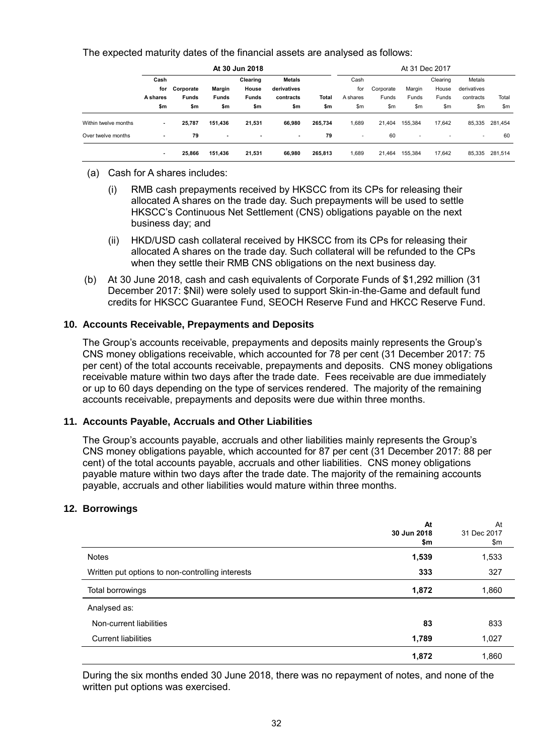The expected maturity dates of the financial assets are analysed as follows:

|                      | At 30 Jun 2018  |              |                          |              |               |         |                          |           |                          | At 31 Dec 2017 |                          |         |
|----------------------|-----------------|--------------|--------------------------|--------------|---------------|---------|--------------------------|-----------|--------------------------|----------------|--------------------------|---------|
|                      | Cash            |              |                          | Clearing     | <b>Metals</b> |         | Cash                     |           |                          | Clearing       | Metals                   |         |
|                      | for             | Corporate    | Margin                   | House        | derivatives   |         | for                      | Corporate | Margin                   | House          | derivatives              |         |
|                      | <b>A</b> shares | <b>Funds</b> | <b>Funds</b>             | <b>Funds</b> | contracts     | Total   | A shares                 | Funds     | Funds                    | Funds          | contracts                | Total   |
|                      | \$m             | \$m          | \$m                      | \$m          | \$m           | \$m     | \$m                      | \$m       | \$m                      | \$m            | \$m                      | \$m     |
| Within twelve months | ۰               | 25,787       | 151,436                  | 21,531       | 66.980        | 265,734 | 689, i                   | 21.404    | 155,384                  | 17.642         | 85,335                   | 281,454 |
| Over twelve months   | ٠               | 79           | $\overline{\phantom{a}}$ | ٠            | ٠             | 79      | $\overline{\phantom{a}}$ | 60        | $\overline{\phantom{a}}$ | ٠              | $\overline{\phantom{a}}$ | 60      |
|                      |                 | 25,866       | 151.436                  | 21.531       | 66.980        | 265,813 | 1.689                    | 21.464    | 155,384                  | 17.642         | 85,335                   | 281.514 |

- (a) Cash for A shares includes:
	- (i) RMB cash prepayments received by HKSCC from its CPs for releasing their allocated A shares on the trade day. Such prepayments will be used to settle HKSCC's Continuous Net Settlement (CNS) obligations payable on the next business day; and
	- (ii) HKD/USD cash collateral received by HKSCC from its CPs for releasing their allocated A shares on the trade day. Such collateral will be refunded to the CPs when they settle their RMB CNS obligations on the next business day.
- (b) At 30 June 2018, cash and cash equivalents of Corporate Funds of \$1,292 million (31 December 2017: \$Nil) were solely used to support Skin-in-the-Game and default fund credits for HKSCC Guarantee Fund, SEOCH Reserve Fund and HKCC Reserve Fund.

#### **10. Accounts Receivable, Prepayments and Deposits**

The Group's accounts receivable, prepayments and deposits mainly represents the Group's CNS money obligations receivable, which accounted for 78 per cent (31 December 2017: 75 per cent) of the total accounts receivable, prepayments and deposits. CNS money obligations receivable mature within two days after the trade date. Fees receivable are due immediately or up to 60 days depending on the type of services rendered. The majority of the remaining accounts receivable, prepayments and deposits were due within three months.

#### **11. Accounts Payable, Accruals and Other Liabilities**

The Group's accounts payable, accruals and other liabilities mainly represents the Group's CNS money obligations payable, which accounted for 87 per cent (31 December 2017: 88 per cent) of the total accounts payable, accruals and other liabilities. CNS money obligations payable mature within two days after the trade date. The majority of the remaining accounts payable, accruals and other liabilities would mature within three months.

#### **12. Borrowings**

|                                                  | At<br>30 Jun 2018<br>\$m | At<br>31 Dec 2017<br>\$m |
|--------------------------------------------------|--------------------------|--------------------------|
| <b>Notes</b>                                     | 1,539                    | 1,533                    |
| Written put options to non-controlling interests | 333                      | 327                      |
| Total borrowings                                 | 1,872                    | 1,860                    |
| Analysed as:                                     |                          |                          |
| Non-current liabilities                          | 83                       | 833                      |
| <b>Current liabilities</b>                       | 1,789                    | 1,027                    |
|                                                  | 1,872                    | 1,860                    |

During the six months ended 30 June 2018, there was no repayment of notes, and none of the written put options was exercised.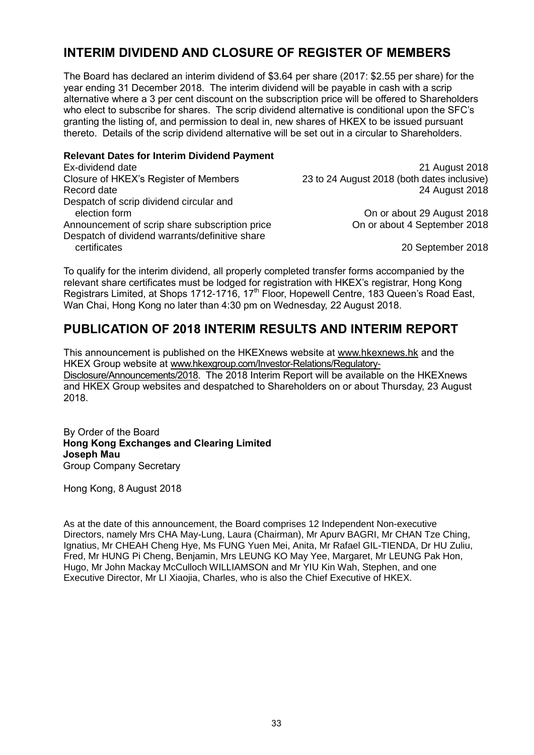# **INTERIM DIVIDEND AND CLOSURE OF REGISTER OF MEMBERS**

The Board has declared an interim dividend of \$3.64 per share (2017: \$2.55 per share) for the year ending 31 December 2018. The interim dividend will be payable in cash with a scrip alternative where a 3 per cent discount on the subscription price will be offered to Shareholders who elect to subscribe for shares. The scrip dividend alternative is conditional upon the SFC's granting the listing of, and permission to deal in, new shares of HKEX to be issued pursuant thereto. Details of the scrip dividend alternative will be set out in a circular to Shareholders.

#### **Relevant Dates for Interim Dividend Payment**

| Ex-dividend date                               | 21 August 2018                              |
|------------------------------------------------|---------------------------------------------|
| Closure of HKEX's Register of Members          | 23 to 24 August 2018 (both dates inclusive) |
| Record date                                    | 24 August 2018                              |
| Despatch of scrip dividend circular and        |                                             |
| election form                                  | On or about 29 August 2018                  |
| Announcement of scrip share subscription price | On or about 4 September 2018                |
| Despatch of dividend warrants/definitive share |                                             |
| certificates                                   | 20 September 2018                           |

To qualify for the interim dividend, all properly completed transfer forms accompanied by the relevant share certificates must be lodged for registration with HKEX's registrar, Hong Kong Registrars Limited, at Shops 1712-1716, 17<sup>th</sup> Floor, Hopewell Centre, 183 Queen's Road East, Wan Chai, Hong Kong no later than 4:30 pm on Wednesday, 22 August 2018.

### **PUBLICATION OF 2018 INTERIM RESULTS AND INTERIM REPORT**

This announcement is published on the HKEXnews website at [www.hkexnews.hk](http://www.hkexnews.hk/) and the HKEX Group website at [www.hkexgroup.com/Investor-Relations/Regulatory-](http://www.hkexgroup.com/Investor-Relations/Regulatory-Disclosure/Announcements/2018?sc_lang=en)[Disclosure/Announcements/2018.](http://www.hkexgroup.com/Investor-Relations/Regulatory-Disclosure/Announcements/2018?sc_lang=en) The 2018 Interim Report will be available on the HKEXnews and HKEX Group websites and despatched to Shareholders on or about Thursday, 23 August 2018.

By Order of the Board **Hong Kong Exchanges and Clearing Limited Joseph Mau** Group Company Secretary

Hong Kong, 8 August 2018

As at the date of this announcement, the Board comprises 12 Independent Non-executive Directors, namely Mrs CHA May-Lung, Laura (Chairman), Mr Apurv BAGRI, Mr CHAN Tze Ching, Ignatius, Mr CHEAH Cheng Hye, Ms FUNG Yuen Mei, Anita, Mr Rafael GIL-TIENDA, Dr HU Zuliu, Fred, Mr HUNG Pi Cheng, Benjamin, Mrs LEUNG KO May Yee, Margaret, Mr LEUNG Pak Hon, Hugo, Mr John Mackay McCulloch WILLIAMSON and Mr YIU Kin Wah, Stephen, and one Executive Director, Mr LI Xiaojia, Charles, who is also the Chief Executive of HKEX.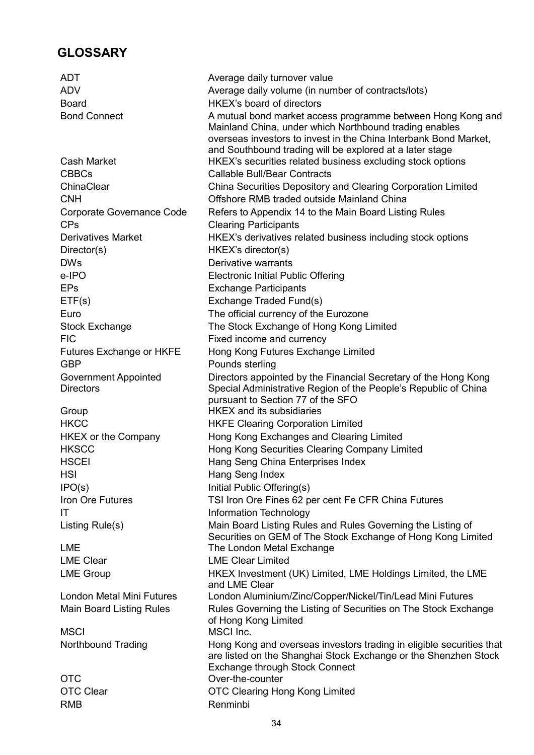## **GLOSSARY**

ADT Average daily turnover value ADV Average daily volume (in number of contracts/lots) Board HKEX's board of directors Bond Connect **A** mutual bond market access programme between Hong Kong and Mainland China, under which Northbound trading enables overseas investors to invest in the China Interbank Bond Market, and Southbound trading will be explored at a later stage Cash Market HKEX's securities related business excluding stock options CBBCs Callable Bull/Bear Contracts ChinaClear China Securities Depository and Clearing Corporation Limited CNH Offshore RMB traded outside Mainland China Corporate Governance Code Refers to Appendix 14 to the Main Board Listing Rules CPs Clearing Participants Derivatives Market **HKEX's derivatives related business including stock options** Director(s) HKEX's director(s) DWs Derivative warrants e-IPO Electronic Initial Public Offering EPs Exchange Participants ETF(s) Exchange Traded Fund(s) Euro **The official currency of the Eurozone** Stock Exchange The Stock Exchange of Hong Kong Limited FIC FIG **Fixed** income and currency Futures Exchange or HKFE Hong Kong Futures Exchange Limited GBP Pounds sterling Government Appointed **Directors** Directors appointed by the Financial Secretary of the Hong Kong Special Administrative Region of the People's Republic of China pursuant to Section 77 of the SFO Group **HKEX** and its subsidiaries HKCC HKFE Clearing Corporation Limited HKEX or the Company Hong Kong Exchanges and Clearing Limited HKSCC Hong Kong Securities Clearing Company Limited HSCEI Hang Seng China Enterprises Index HSI Hang Seng Index IPO(s) Initial Public Offering(s) Iron Ore Futures TSI Iron Ore Fines 62 per cent Fe CFR China Futures IT IT Information Technology Listing Rule(s) Main Board Listing Rules and Rules Governing the Listing of Securities on GEM of The Stock Exchange of Hong Kong Limited LME **The London Metal Exchange** LME Clear LME Clear Limited LME Group **EXICLE HKEX Investment (UK) Limited, LME Holdings Limited, the LME** and LME Clear London Metal Mini Futures London Aluminium/Zinc/Copper/Nickel/Tin/Lead Mini Futures Main Board Listing Rules **Rules Governing the Listing of Securities on The Stock Exchange** of Hong Kong Limited MSCI MSCI Inc. Northbound Trading Hong Kong and overseas investors trading in eligible securities that are listed on the Shanghai Stock Exchange or the Shenzhen Stock Exchange through Stock Connect OTC Over-the-counter OTC Clear **OTC Clearing Hong Kong Limited** RMB Renminbi